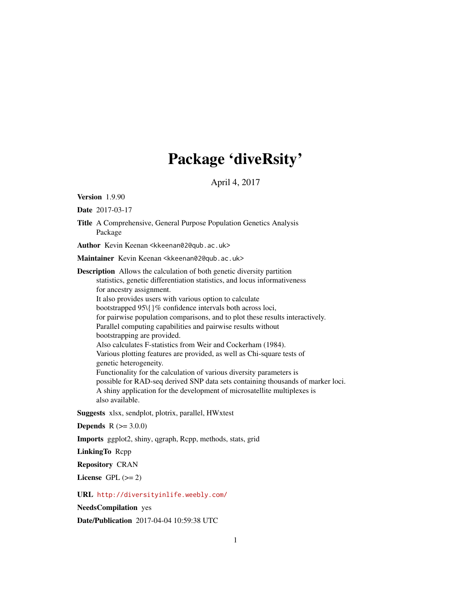# Package 'diveRsity'

April 4, 2017

Version 1.9.90

Date 2017-03-17

Title A Comprehensive, General Purpose Population Genetics Analysis Package

Author Kevin Keenan <kkeenan02@qub.ac.uk>

Maintainer Kevin Keenan <kkeenan02@qub.ac.uk>

Description Allows the calculation of both genetic diversity partition statistics, genetic differentiation statistics, and locus informativeness for ancestry assignment. It also provides users with various option to calculate bootstrapped 95\{}% confidence intervals both across loci, for pairwise population comparisons, and to plot these results interactively. Parallel computing capabilities and pairwise results without bootstrapping are provided. Also calculates F-statistics from Weir and Cockerham (1984). Various plotting features are provided, as well as Chi-square tests of genetic heterogeneity. Functionality for the calculation of various diversity parameters is possible for RAD-seq derived SNP data sets containing thousands of marker loci. A shiny application for the development of microsatellite multiplexes is also available.

Suggests xlsx, sendplot, plotrix, parallel, HWxtest

**Depends**  $R (= 3.0.0)$ 

Imports ggplot2, shiny, qgraph, Rcpp, methods, stats, grid

LinkingTo Rcpp

Repository CRAN

License GPL  $(>= 2)$ 

URL <http://diversityinlife.weebly.com/>

NeedsCompilation yes

Date/Publication 2017-04-04 10:59:38 UTC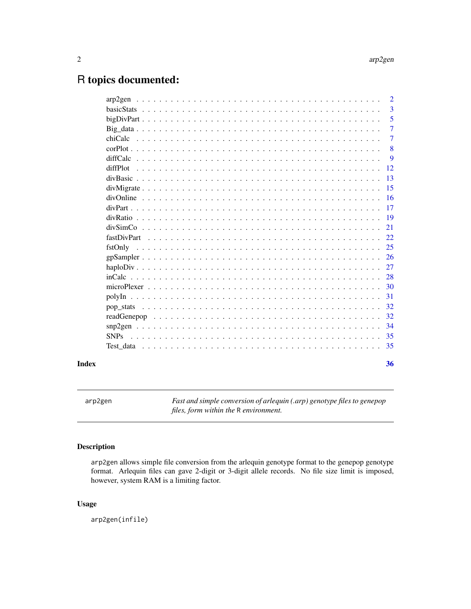## <span id="page-1-0"></span>R topics documented:

|           |  | $\overline{2}$ |
|-----------|--|----------------|
|           |  | $\overline{3}$ |
|           |  | 5              |
|           |  | $\overline{7}$ |
|           |  | $\overline{7}$ |
|           |  | 8              |
|           |  | 9              |
| diffPlot  |  | 12             |
|           |  | 13             |
|           |  | 15             |
|           |  | 16             |
|           |  | 17             |
|           |  | 19             |
|           |  | 21             |
|           |  | 22             |
| fstOnly   |  | 25             |
|           |  | 26             |
|           |  |                |
|           |  | 28             |
|           |  | 30             |
|           |  | 31             |
|           |  | 32             |
|           |  | 32             |
| $sup2gen$ |  | 34             |
| SNPs      |  | 35             |
| Test data |  | 35             |
|           |  |                |

#### **Index** [36](#page-35-0)

arp2gen *Fast and simple conversion of arlequin (.arp) genotype files to genepop files, form within the* R *environment.*

### Description

arp2gen allows simple file conversion from the arlequin genotype format to the genepop genotype format. Arlequin files can gave 2-digit or 3-digit allele records. No file size limit is imposed, however, system RAM is a limiting factor.

#### Usage

arp2gen(infile)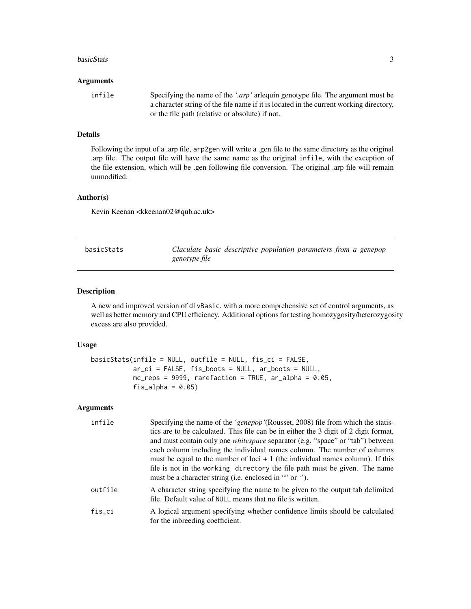#### <span id="page-2-0"></span>**basicStats** 3

#### **Arguments**

| infile | Specifying the name of the '.arp' arlequin genotype file. The argument must be         |
|--------|----------------------------------------------------------------------------------------|
|        | a character string of the file name if it is located in the current working directory, |
|        | or the file path (relative or absolute) if not.                                        |

#### Details

Following the input of a .arp file, arp2gen will write a .gen file to the same directory as the original .arp file. The output file will have the same name as the original infile, with the exception of the file extension, which will be .gen following file conversion. The original .arp file will remain unmodified.

#### Author(s)

Kevin Keenan <kkeenan02@qub.ac.uk>

| basicStats | Claculate basic descriptive population parameters from a genepop |
|------------|------------------------------------------------------------------|
|            | genotype file                                                    |

#### Description

A new and improved version of divBasic, with a more comprehensive set of control arguments, as well as better memory and CPU efficiency. Additional options for testing homozygosity/heterozygosity excess are also provided.

#### Usage

```
basicStats(infile = NULL, outfile = NULL, fis_ci = FALSE,
           ar\_ci = FALSE, fis\_books = NULL, ar\_books = NULL,
           mc_{}reps = 9999, rarefaction = TRUE, ar_alpha = 0.05,
           fis_alpha = 0.05)
```
#### Arguments

| infile  | Specifying the name of the 'genepop' (Rousset, 2008) file from which the statis-<br>tics are to be calculated. This file can be in either the 3 digit of 2 digit format,<br>and must contain only one <i>whitespace</i> separator (e.g. "space" or "tab") between<br>each column including the individual names column. The number of columns<br>must be equal to the number of loci $+1$ (the individual names column). If this<br>file is not in the working directory the file path must be given. The name<br>must be a character string (i.e. enclosed in "" or "). |
|---------|--------------------------------------------------------------------------------------------------------------------------------------------------------------------------------------------------------------------------------------------------------------------------------------------------------------------------------------------------------------------------------------------------------------------------------------------------------------------------------------------------------------------------------------------------------------------------|
| outfile | A character string specifying the name to be given to the output tab delimited<br>file. Default value of NULL means that no file is written.                                                                                                                                                                                                                                                                                                                                                                                                                             |
| fis ci  | A logical argument specifying whether confidence limits should be calculated<br>for the inbreeding coefficient.                                                                                                                                                                                                                                                                                                                                                                                                                                                          |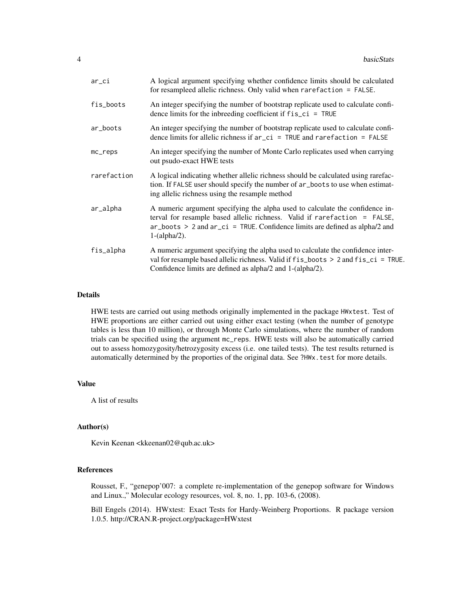| ar_ci       | A logical argument specifying whether confidence limits should be calculated<br>for resampleed allelic richness. Only valid when rarefaction = FALSE.                                                                                                                                       |
|-------------|---------------------------------------------------------------------------------------------------------------------------------------------------------------------------------------------------------------------------------------------------------------------------------------------|
| fis_boots   | An integer specifying the number of bootstrap replicate used to calculate confi-<br>dence limits for the inbreeding coefficient if fis_ci = TRUE                                                                                                                                            |
| ar_boots    | An integer specifying the number of bootstrap replicate used to calculate confi-<br>dence limits for allelic richness if $ar_c$ = TRUE and rarefaction = FALSE                                                                                                                              |
| $mc$ $reps$ | An integer specifying the number of Monte Carlo replicates used when carrying<br>out psudo-exact HWE tests                                                                                                                                                                                  |
| rarefaction | A logical indicating whether allelic richness should be calculated using rarefac-<br>tion. If FALSE user should specify the number of ar_boots to use when estimat-<br>ing allelic richness using the resample method                                                                       |
| ar_alpha    | A numeric argument specifying the alpha used to calculate the confidence in-<br>terval for resample based allelic richness. Valid if rarefaction = FALSE,<br>$ar_{\text{-}}$ boots > 2 and $ar_{\text{-}}ci$ = TRUE. Confidence limits are defined as alpha/2 and<br>$1-(\text{alpha}/2)$ . |
| fis_alpha   | A numeric argument specifying the alpha used to calculate the confidence inter-<br>val for resample based allelic richness. Valid if f is_boots > 2 and f is_ci = TRUE.<br>Confidence limits are defined as alpha/2 and 1-(alpha/2).                                                        |

#### Details

HWE tests are carried out using methods originally implemented in the package HWxtest. Test of HWE proportions are either carried out using either exact testing (when the number of genotype tables is less than 10 million), or through Monte Carlo simulations, where the number of random trials can be specified using the argument mc\_reps. HWE tests will also be automatically carried out to assess homozygosity/hetrozygosity excess (i.e. one tailed tests). The test results returned is automatically determined by the proporties of the original data. See ?HWx.test for more details.

#### Value

A list of results

#### Author(s)

Kevin Keenan <kkeenan02@qub.ac.uk>

#### References

Rousset, F., "genepop'007: a complete re-implementation of the genepop software for Windows and Linux.," Molecular ecology resources, vol. 8, no. 1, pp. 103-6, (2008).

Bill Engels (2014). HWxtest: Exact Tests for Hardy-Weinberg Proportions. R package version 1.0.5. http://CRAN.R-project.org/package=HWxtest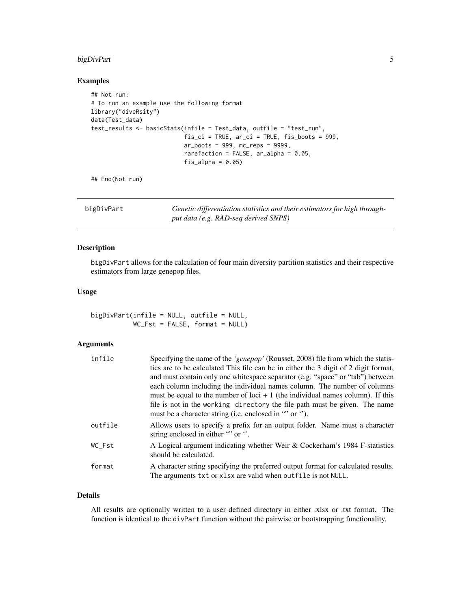#### <span id="page-4-0"></span>bigDivPart 5

#### Examples

```
## Not run:
# To run an example use the following format
library("diveRsity")
data(Test_data)
test_results <- basicStats(infile = Test_data, outfile = "test_run",
                           fis_ci = TRUE, ar_ci = TRUE, fis_boots = 999,
                           ar_boots = 999, mc_reps = 9999,
                           rarefaction = FALSE, ar_alpha = 0.05,fis_alpha = 0.05)
```
## End(Not run)

bigDivPart *Genetic differentiation statistics and their estimators for high throughput data (e.g. RAD-seq derived SNPS)*

#### Description

bigDivPart allows for the calculation of four main diversity partition statistics and their respective estimators from large genepop files.

#### Usage

| bigDivPart(infile = NULL, outfile = NULL, |  |                                  |  |
|-------------------------------------------|--|----------------------------------|--|
|                                           |  | $WC_Fst = FALSE, format = NULL)$ |  |

#### Arguments

| infile  | Specifying the name of the 'genepop' (Rousset, 2008) file from which the statis-                                                                   |
|---------|----------------------------------------------------------------------------------------------------------------------------------------------------|
|         | tics are to be calculated This file can be in either the 3 digit of 2 digit format,                                                                |
|         | and must contain only one whitespace separator (e.g. "space" or "tab") between                                                                     |
|         | each column including the individual names column. The number of columns                                                                           |
|         | must be equal to the number of loci $+1$ (the individual names column). If this                                                                    |
|         | file is not in the working directory the file path must be given. The name<br>must be a character string (i.e. enclosed in "" or ").               |
| outfile | Allows users to specify a prefix for an output folder. Name must a character<br>string enclosed in either "" or ".                                 |
| WC Fst  | A Logical argument indicating whether Weir & Cockerham's 1984 F-statistics<br>should be calculated.                                                |
| format  | A character string specifying the preferred output format for calculated results.<br>The arguments txt or xlsx are valid when outfile is not NULL. |

#### Details

All results are optionally written to a user defined directory in either .xlsx or .txt format. The function is identical to the divPart function without the pairwise or bootstrapping functionality.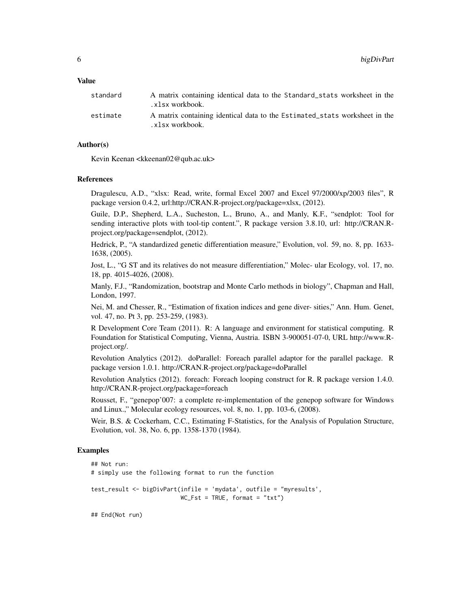#### Value

| standard | A matrix containing identical data to the Standard stats worksheet in the<br>.xlsx workbook.  |
|----------|-----------------------------------------------------------------------------------------------|
| estimate | A matrix containing identical data to the Estimated_stats worksheet in the<br>.xlsx workbook. |

#### Author(s)

Kevin Keenan <kkeenan02@qub.ac.uk>

#### References

Dragulescu, A.D., "xlsx: Read, write, formal Excel 2007 and Excel 97/2000/xp/2003 files", R package version 0.4.2, url:http://CRAN.R-project.org/package=xlsx, (2012).

Guile, D.P., Shepherd, L.A., Sucheston, L., Bruno, A., and Manly, K.F., "sendplot: Tool for sending interactive plots with tool-tip content.", R package version 3.8.10, url: http://CRAN.Rproject.org/package=sendplot, (2012).

Hedrick, P., "A standardized genetic differentiation measure," Evolution, vol. 59, no. 8, pp. 1633- 1638, (2005).

Jost, L., "G ST and its relatives do not measure differentiation," Molec- ular Ecology, vol. 17, no. 18, pp. 4015-4026, (2008).

Manly, F.J., "Randomization, bootstrap and Monte Carlo methods in biology", Chapman and Hall, London, 1997.

Nei, M. and Chesser, R., "Estimation of fixation indices and gene diver- sities," Ann. Hum. Genet, vol. 47, no. Pt 3, pp. 253-259, (1983).

R Development Core Team (2011). R: A language and environment for statistical computing. R Foundation for Statistical Computing, Vienna, Austria. ISBN 3-900051-07-0, URL http://www.Rproject.org/.

Revolution Analytics (2012). doParallel: Foreach parallel adaptor for the parallel package. R package version 1.0.1. http://CRAN.R-project.org/package=doParallel

Revolution Analytics (2012). foreach: Foreach looping construct for R. R package version 1.4.0. http://CRAN.R-project.org/package=foreach

Rousset, F., "genepop'007: a complete re-implementation of the genepop software for Windows and Linux.," Molecular ecology resources, vol. 8, no. 1, pp. 103-6, (2008).

Weir, B.S. & Cockerham, C.C., Estimating F-Statistics, for the Analysis of Population Structure, Evolution, vol. 38, No. 6, pp. 1358-1370 (1984).

#### Examples

```
## Not run:
# simply use the following format to run the function
test_result <- bigDivPart(infile = 'mydata', outfile = "myresults',
                         WC_Fst = TRUE, format = "txt")
```
## End(Not run)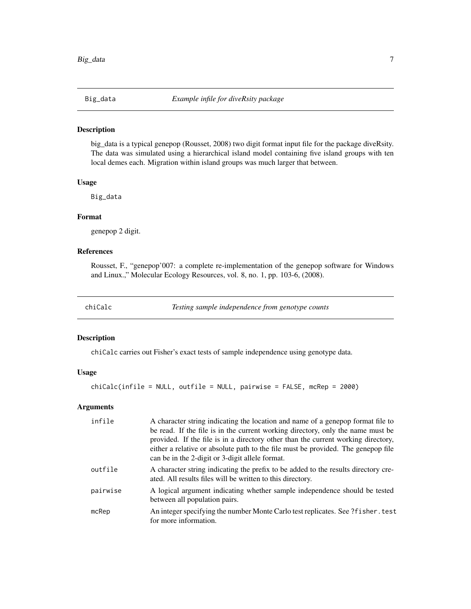#### <span id="page-6-0"></span>Description

big\_data is a typical genepop (Rousset, 2008) two digit format input file for the package diveRsity. The data was simulated using a hierarchical island model containing five island groups with ten local demes each. Migration within island groups was much larger that between.

#### Usage

Big\_data

#### Format

genepop 2 digit.

#### References

Rousset, F., "genepop'007: a complete re-implementation of the genepop software for Windows and Linux.," Molecular Ecology Resources, vol. 8, no. 1, pp. 103-6, (2008).

chiCalc *Testing sample independence from genotype counts*

#### Description

chiCalc carries out Fisher's exact tests of sample independence using genotype data.

#### Usage

chiCalc(infile = NULL, outfile = NULL, pairwise = FALSE, mcRep = 2000)

#### Arguments

| infile   | A character string indicating the location and name of a genepop format file to<br>be read. If the file is in the current working directory, only the name must be<br>provided. If the file is in a directory other than the current working directory,<br>either a relative or absolute path to the file must be provided. The genepop file<br>can be in the 2-digit or 3-digit allele format. |
|----------|-------------------------------------------------------------------------------------------------------------------------------------------------------------------------------------------------------------------------------------------------------------------------------------------------------------------------------------------------------------------------------------------------|
| outfile  | A character string indicating the prefix to be added to the results directory cre-<br>ated. All results files will be written to this directory.                                                                                                                                                                                                                                                |
| pairwise | A logical argument indicating whether sample independence should be tested<br>between all population pairs.                                                                                                                                                                                                                                                                                     |
| mcRep    | An integer specifying the number Monte Carlo test replicates. See ?f i sher. test<br>for more information.                                                                                                                                                                                                                                                                                      |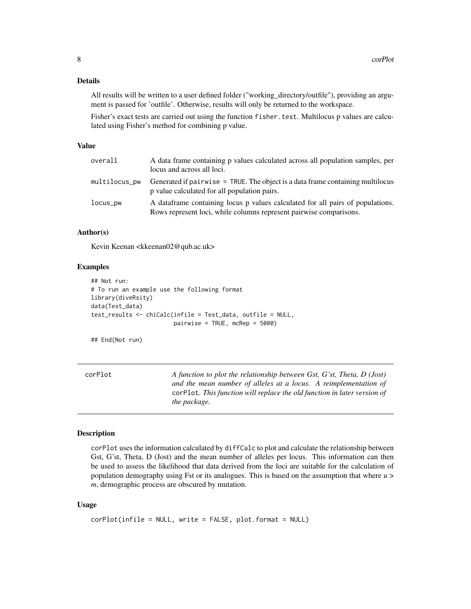#### <span id="page-7-0"></span>Details

All results will be written to a user defined folder ("working\_directory/outfile"), providing an argument is passed for 'outfile'. Otherwise, results will only be returned to the workspace.

Fisher's exact tests are carried out using the function fisher.test. Multilocus p values are calculated using Fisher's method for combining p value.

#### Value

| overall       | A data frame containing p values calculated across all population samples, per<br>locus and across all loci.                                          |
|---------------|-------------------------------------------------------------------------------------------------------------------------------------------------------|
| multilocus_pw | Generated if pairwise = TRUE. The object is a data frame containing multilocus<br>p value calculated for all population pairs.                        |
| $locus_$      | A data frame containing locus p values calculated for all pairs of populations.<br>Rows represent loci, while columns represent pairwise comparisons. |

#### Author(s)

Kevin Keenan <kkeenan02@qub.ac.uk>

#### Examples

```
## Not run:
# To run an example use the following format
library(diveRsity)
data(Test_data)
test_results <- chiCalc(infile = Test_data, outfile = NULL,
                        pairwise = TRUE, mcRep = 5000)
```
## End(Not run)

| corPlot | A function to plot the relationship between Gst, G'st, Theta, D (Jost)   |
|---------|--------------------------------------------------------------------------|
|         | and the mean number of alleles at a locus. A reimplementation of         |
|         | corplot. This function will replace the old function in later version of |
|         | the package.                                                             |

#### Description

corPlot uses the information calculated by diffCalc to plot and calculate the relationship between Gst, G'st, Theta, D (Jost) and the mean number of alleles per locus. This information can then be used to assess the likelihood that data derived from the loci are suitable for the calculation of population demography using Fst or its analogues. This is based on the assumption that where *u* > *m*, demographic process are obscured by mutation.

#### Usage

```
corPlot(infile = NULL, write = FALSE, plot.format = NULL)
```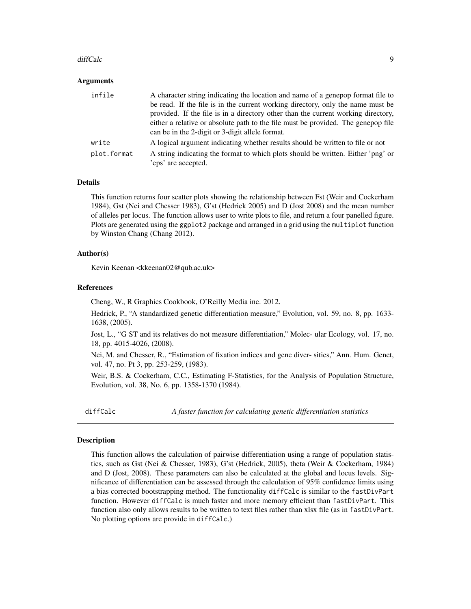#### <span id="page-8-0"></span>diffCalc 9

#### Arguments

| infile      | A character string indicating the location and name of a genepop format file to<br>be read. If the file is in the current working directory, only the name must be<br>provided. If the file is in a directory other than the current working directory,<br>either a relative or absolute path to the file must be provided. The genepop file<br>can be in the 2-digit or 3-digit allele format. |
|-------------|-------------------------------------------------------------------------------------------------------------------------------------------------------------------------------------------------------------------------------------------------------------------------------------------------------------------------------------------------------------------------------------------------|
| write       | A logical argument indicating whether results should be written to file or not                                                                                                                                                                                                                                                                                                                  |
| plot.format | A string indicating the format to which plots should be written. Either 'png' or<br>'eps' are accepted.                                                                                                                                                                                                                                                                                         |

#### Details

This function returns four scatter plots showing the relationship between Fst (Weir and Cockerham 1984), Gst (Nei and Chesser 1983), G'st (Hedrick 2005) and D (Jost 2008) and the mean number of alleles per locus. The function allows user to write plots to file, and return a four panelled figure. Plots are generated using the ggplot2 package and arranged in a grid using the multiplot function by Winston Chang (Chang 2012).

#### Author(s)

Kevin Keenan <kkeenan02@qub.ac.uk>

#### References

Cheng, W., R Graphics Cookbook, O'Reilly Media inc. 2012.

Hedrick, P., "A standardized genetic differentiation measure," Evolution, vol. 59, no. 8, pp. 1633- 1638, (2005).

Jost, L., "G ST and its relatives do not measure differentiation," Molec- ular Ecology, vol. 17, no. 18, pp. 4015-4026, (2008).

Nei, M. and Chesser, R., "Estimation of fixation indices and gene diver- sities," Ann. Hum. Genet, vol. 47, no. Pt 3, pp. 253-259, (1983).

Weir, B.S. & Cockerham, C.C., Estimating F-Statistics, for the Analysis of Population Structure, Evolution, vol. 38, No. 6, pp. 1358-1370 (1984).

diffCalc *A faster function for calculating genetic differentiation statistics*

#### Description

This function allows the calculation of pairwise differentiation using a range of population statistics, such as Gst (Nei & Chesser, 1983), G'st (Hedrick, 2005), theta (Weir & Cockerham, 1984) and D (Jost, 2008). These parameters can also be calculated at the global and locus levels. Significance of differentiation can be assessed through the calculation of 95% confidence limits using a bias corrected bootstrapping method. The functionality diffCalc is similar to the fastDivPart function. However diffCalc is much faster and more memory efficient than fastDivPart. This function also only allows results to be written to text files rather than xlsx file (as in fastDivPart. No plotting options are provide in diffCalc.)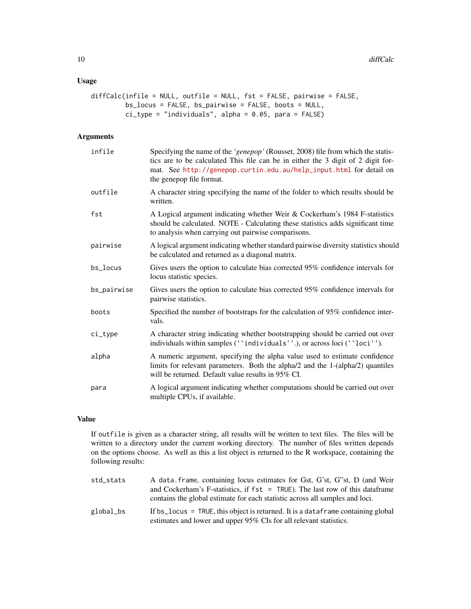#### Usage

```
diffCalc(infile = NULL, outfile = NULL, fst = FALSE, pairwise = FALSE,
        bs_locus = FALSE, bs_pairwise = FALSE, boots = NULL,
        ci_type = "individuals", alpha = 0.05, para = FALSE)
```
#### Arguments

| infile      | Specifying the name of the 'genepop' (Rousset, 2008) file from which the statis-<br>tics are to be calculated This file can be in either the 3 digit of 2 digit for-<br>mat. See http://genepop.curtin.edu.au/help_input.html for detail on<br>the genepop file format. |
|-------------|-------------------------------------------------------------------------------------------------------------------------------------------------------------------------------------------------------------------------------------------------------------------------|
| outfile     | A character string specifying the name of the folder to which results should be<br>written.                                                                                                                                                                             |
| fst         | A Logical argument indicating whether Weir & Cockerham's 1984 F-statistics<br>should be calculated. NOTE - Calculating these statistics adds significant time<br>to analysis when carrying out pairwise comparisons.                                                    |
| pairwise    | A logical argument indicating whether standard pairwise diversity statistics should<br>be calculated and returned as a diagonal matrix.                                                                                                                                 |
| bs_locus    | Gives users the option to calculate bias corrected 95% confidence intervals for<br>locus statistic species.                                                                                                                                                             |
| bs_pairwise | Gives users the option to calculate bias corrected 95% confidence intervals for<br>pairwise statistics.                                                                                                                                                                 |
| boots       | Specified the number of bootstraps for the calculation of 95% confidence inter-<br>vals.                                                                                                                                                                                |
| $ci_type$   | A character string indicating whether bootstrapping should be carried out over<br>individuals within samples (''individuals''.), or across loci (''loci'').                                                                                                             |
| alpha       | A numeric argument, specifying the alpha value used to estimate confidence<br>limits for relevant parameters. Both the alpha/2 and the 1-(alpha/2) quantiles<br>will be returned. Default value results in 95% CI.                                                      |
| para        | A logical argument indicating whether computations should be carried out over<br>multiple CPUs, if available.                                                                                                                                                           |

#### Value

If outfile is given as a character string, all results will be written to text files. The files will be written to a directory under the current working directory. The number of files written depends on the options choose. As well as this a list object is returned to the R workspace, containing the following results:

| std stats | A data frame, containing locus estimates for Gst, G'st, G''st, D (and Weir       |
|-----------|----------------------------------------------------------------------------------|
|           | and Cockerham's F-statistics, if $fst = TRUE$ ). The last row of this data frame |
|           | contains the global estimate for each statistic across all samples and loci.     |
| global_bs | If bs locus = TRUE, this object is returned. It is a dataframe containing global |
|           | estimates and lower and upper 95% CIs for all relevant statistics.               |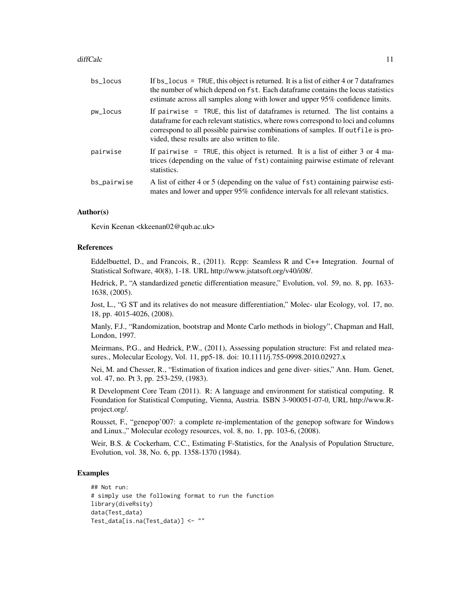#### diffCalc 11

| bs locus    | If bs_locus = TRUE, this object is returned. It is a list of either $4$ or $7$ data frames<br>the number of which depend on fst. Each dataframe contains the locus statistics<br>estimate across all samples along with lower and upper 95% confidence limits.                                          |
|-------------|---------------------------------------------------------------------------------------------------------------------------------------------------------------------------------------------------------------------------------------------------------------------------------------------------------|
| pw_locus    | If pairwise = TRUE, this list of dataframes is returned. The list contains a<br>data frame for each relevant statistics, where rows correspond to loci and columns<br>correspond to all possible pairwise combinations of samples. If outfile is pro-<br>vided, these results are also written to file. |
| pairwise    | If pairwise $=$ TRUE, this object is returned. It is a list of either 3 or 4 ma-<br>trices (depending on the value of fst) containing pairwise estimate of relevant<br>statistics.                                                                                                                      |
| bs_pairwise | A list of either 4 or 5 (depending on the value of fst) containing pairwise esti-<br>mates and lower and upper 95% confidence intervals for all relevant statistics.                                                                                                                                    |

#### Author(s)

Kevin Keenan <kkeenan02@qub.ac.uk>

#### References

Eddelbuettel, D., and Francois, R., (2011). Rcpp: Seamless R and C++ Integration. Journal of Statistical Software, 40(8), 1-18. URL http://www.jstatsoft.org/v40/i08/.

Hedrick, P., "A standardized genetic differentiation measure," Evolution, vol. 59, no. 8, pp. 1633- 1638, (2005).

Jost, L., "G ST and its relatives do not measure differentiation," Molec- ular Ecology, vol. 17, no. 18, pp. 4015-4026, (2008).

Manly, F.J., "Randomization, bootstrap and Monte Carlo methods in biology", Chapman and Hall, London, 1997.

Meirmans, P.G., and Hedrick, P.W., (2011), Assessing population structure: Fst and related measures., Molecular Ecology, Vol. 11, pp5-18. doi: 10.1111/j.755-0998.2010.02927.x

Nei, M. and Chesser, R., "Estimation of fixation indices and gene diver- sities," Ann. Hum. Genet, vol. 47, no. Pt 3, pp. 253-259, (1983).

R Development Core Team (2011). R: A language and environment for statistical computing. R Foundation for Statistical Computing, Vienna, Austria. ISBN 3-900051-07-0, URL http://www.Rproject.org/.

Rousset, F., "genepop'007: a complete re-implementation of the genepop software for Windows and Linux.," Molecular ecology resources, vol. 8, no. 1, pp. 103-6, (2008).

Weir, B.S. & Cockerham, C.C., Estimating F-Statistics, for the Analysis of Population Structure, Evolution, vol. 38, No. 6, pp. 1358-1370 (1984).

#### Examples

```
## Not run:
# simply use the following format to run the function
library(diveRsity)
data(Test_data)
Test_data[is.na(Test_data)] <- ""
```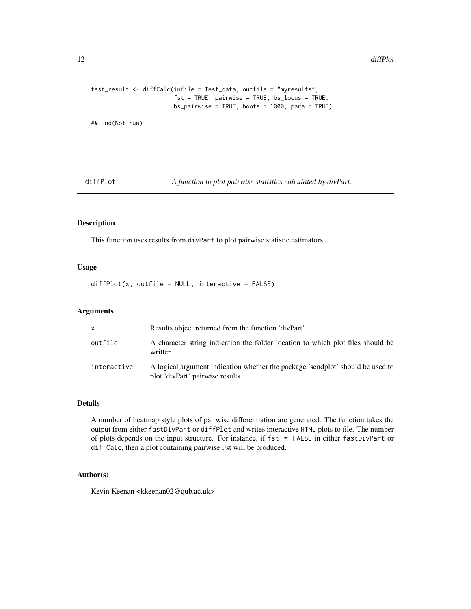```
test_result <- diffCalc(infile = Test_data, outfile = "myresults",
                        fst = TRUE, pairwise = TRUE, bs_locus = TRUE,
                        bs_pairwise = TRUE, boots = 1000, para = TRUE)
```
## End(Not run)

diffPlot *A function to plot pairwise statistics calculated by divPart.*

#### Description

This function uses results from divPart to plot pairwise statistic estimators.

#### Usage

 $diffPlot(x, outfile = NULL, interactive = FALSE)$ 

#### Arguments

| X.          | Results object returned from the function 'divPart'                                                                |
|-------------|--------------------------------------------------------------------------------------------------------------------|
| outfile     | A character string indication the folder location to which plot files should be<br>written.                        |
| interactive | A logical argument indication whether the package 'sendplot' should be used to<br>plot 'divPart' pairwise results. |

#### Details

A number of heatmap style plots of pairwise differentiation are generated. The function takes the output from either fastDivPart or diffPlot and writes interactive HTML plots to file. The number of plots depends on the input structure. For instance, if fst = FALSE in either fastDivPart or diffCalc, then a plot containing pairwise Fst will be produced.

#### Author(s)

Kevin Keenan <kkeenan02@qub.ac.uk>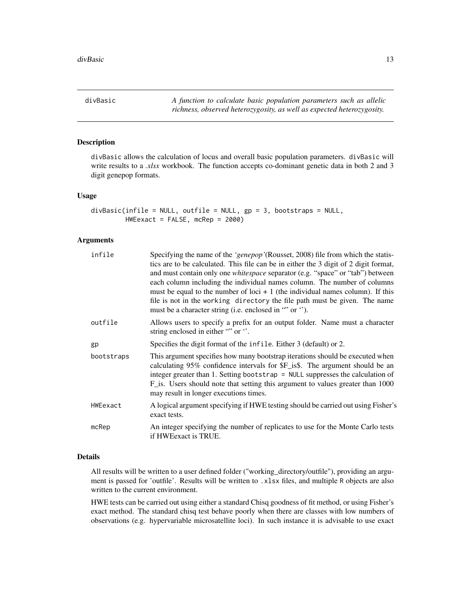<span id="page-12-0"></span>divBasic *A function to calculate basic population parameters such as allelic richness, observed heterozygosity, as well as expected heterozygosity.*

#### Description

divBasic allows the calculation of locus and overall basic population parameters. divBasic will write results to a *.xlsx* workbook. The function accepts co-dominant genetic data in both 2 and 3 digit genepop formats.

#### Usage

```
divBasic(intile = NULL, outfile = NULL, gp = 3, bootstraps = NULL,HWEexact = FALSE, mcRep = 2000)
```
#### Arguments

| infile     | Specifying the name of the 'genepop' (Rousset, 2008) file from which the statis-<br>tics are to be calculated. This file can be in either the 3 digit of 2 digit format,<br>and must contain only one <i>whitespace</i> separator (e.g. "space" or "tab") between<br>each column including the individual names column. The number of columns<br>must be equal to the number of loci $+1$ (the individual names column). If this<br>file is not in the working directory the file path must be given. The name<br>must be a character string (i.e. enclosed in "" or "). |
|------------|--------------------------------------------------------------------------------------------------------------------------------------------------------------------------------------------------------------------------------------------------------------------------------------------------------------------------------------------------------------------------------------------------------------------------------------------------------------------------------------------------------------------------------------------------------------------------|
| outfile    | Allows users to specify a prefix for an output folder. Name must a character<br>string enclosed in either "" or ".                                                                                                                                                                                                                                                                                                                                                                                                                                                       |
| gp         | Specifies the digit format of the infile. Either 3 (default) or 2.                                                                                                                                                                                                                                                                                                                                                                                                                                                                                                       |
| bootstraps | This argument specifies how many bootstrap iterations should be executed when<br>calculating 95% confidence intervals for \$F_is\$. The argument should be an<br>integer greater than 1. Setting bootstrap = $NULL$ suppresses the calculation of<br>F is. Users should note that setting this argument to values greater than 1000<br>may result in longer executions times.                                                                                                                                                                                            |
| HWEexact   | A logical argument specifying if HWE testing should be carried out using Fisher's<br>exact tests.                                                                                                                                                                                                                                                                                                                                                                                                                                                                        |
| mcRep      | An integer specifying the number of replicates to use for the Monte Carlo tests<br>if HWEexact is TRUE.                                                                                                                                                                                                                                                                                                                                                                                                                                                                  |
|            |                                                                                                                                                                                                                                                                                                                                                                                                                                                                                                                                                                          |

#### Details

All results will be written to a user defined folder ("working\_directory/outfile"), providing an argument is passed for 'outfile'. Results will be written to .xlsx files, and multiple R objects are also written to the current environment.

HWE tests can be carried out using either a standard Chisq goodness of fit method, or using Fisher's exact method. The standard chisq test behave poorly when there are classes with low numbers of observations (e.g. hypervariable microsatellite loci). In such instance it is advisable to use exact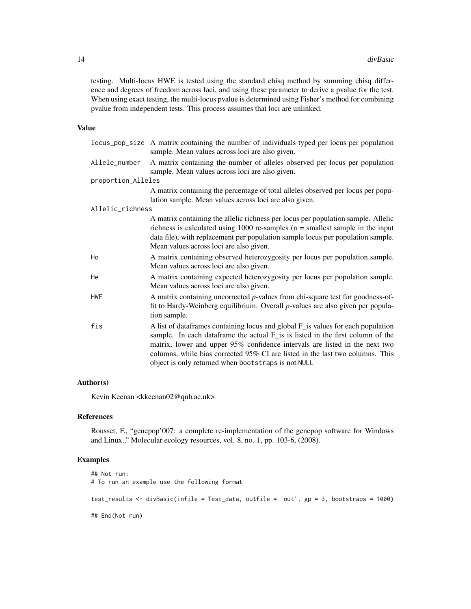testing. Multi-locus HWE is tested using the standard chisq method by summing chisq difference and degrees of freedom across loci, and using these parameter to derive a pvalue for the test. When using exact testing, the multi-locus pvalue is determined using Fisher's method for combining pvalue from independent tests. This process assumes that loci are unlinked.

#### Value

|                    | locus_pop_size A matrix containing the number of individuals typed per locus per population<br>sample. Mean values across loci are also given.                                                                                                                                                                                                                                            |
|--------------------|-------------------------------------------------------------------------------------------------------------------------------------------------------------------------------------------------------------------------------------------------------------------------------------------------------------------------------------------------------------------------------------------|
| Allele_number      | A matrix containing the number of alleles observed per locus per population<br>sample. Mean values across loci are also given.                                                                                                                                                                                                                                                            |
| proportion_Alleles |                                                                                                                                                                                                                                                                                                                                                                                           |
|                    | A matrix containing the percentage of total alleles observed per locus per popu-<br>lation sample. Mean values across loci are also given.                                                                                                                                                                                                                                                |
| Allelic_richness   |                                                                                                                                                                                                                                                                                                                                                                                           |
|                    | A matrix containing the allelic richness per locus per population sample. Allelic<br>richness is calculated using 1000 re-samples ( $n =$ smallest sample in the input<br>data file), with replacement per population sample locus per population sample.<br>Mean values across loci are also given.                                                                                      |
| Ho                 | A matrix containing observed heterozygosity per locus per population sample.<br>Mean values across loci are also given.                                                                                                                                                                                                                                                                   |
| He                 | A matrix containing expected heterozygosity per locus per population sample.<br>Mean values across loci are also given.                                                                                                                                                                                                                                                                   |
| <b>HWE</b>         | A matrix containing uncorrected $p$ -values from chi-square test for goodness-of-<br>fit to Hardy-Weinberg equilibrium. Overall p-values are also given per popula-<br>tion sample.                                                                                                                                                                                                       |
| fis                | A list of dataframes containing locus and global F_is values for each population<br>sample. In each dataframe the actual F_is is listed in the first column of the<br>matrix, lower and upper 95% confidence intervals are listed in the next two<br>columns, while bias corrected 95% CI are listed in the last two columns. This<br>object is only returned when bootstraps is not NULL |

#### Author(s)

Kevin Keenan <kkeenan02@qub.ac.uk>

#### References

Rousset, F., "genepop'007: a complete re-implementation of the genepop software for Windows and Linux.," Molecular ecology resources, vol. 8, no. 1, pp. 103-6, (2008).

#### Examples

```
## Not run:
# To run an example use the following format
test_results <- divBasic(infile = Test_data, outfile = 'out', gp = 3, bootstraps = 1000)
## End(Not run)
```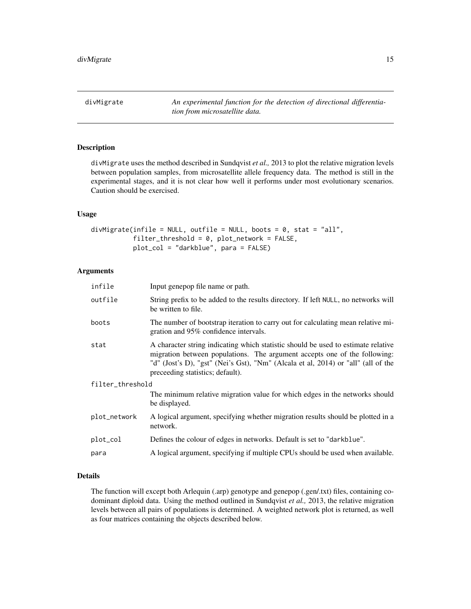<span id="page-14-0"></span>divMigrate *An experimental function for the detection of directional differentiation from microsatellite data.*

#### Description

divMigrate uses the method described in Sundqvist *et al.,* 2013 to plot the relative migration levels between population samples, from microsatellite allele frequency data. The method is still in the experimental stages, and it is not clear how well it performs under most evolutionary scenarios. Caution should be exercised.

#### Usage

```
divMigrate(infile = NULL, outfile = NULL, boots = 0, stat = "all",
           filter_{threshold} = 0, plot_{network} = FALSE,
           plot_col = "darkblue", para = FALSE)
```
#### Arguments

| infile           | Input genepop file name or path.                                                                                                                                                                                                                                                        |  |
|------------------|-----------------------------------------------------------------------------------------------------------------------------------------------------------------------------------------------------------------------------------------------------------------------------------------|--|
| outfile          | String prefix to be added to the results directory. If left NULL, no networks will<br>be written to file.                                                                                                                                                                               |  |
| boots            | The number of bootstrap iteration to carry out for calculating mean relative mi-<br>gration and 95% confidence intervals.                                                                                                                                                               |  |
| stat             | A character string indicating which statistic should be used to estimate relative<br>migration between populations. The argument accepts one of the following:<br>"d" (Jost's D), "gst" (Nei's Gst), "Nm" (Alcala et al, 2014) or "all" (all of the<br>preceeding statistics; default). |  |
| filter_threshold |                                                                                                                                                                                                                                                                                         |  |
|                  | The minimum relative migration value for which edges in the networks should<br>be displayed.                                                                                                                                                                                            |  |
| plot_network     | A logical argument, specifying whether migration results should be plotted in a<br>network.                                                                                                                                                                                             |  |
| plot_col         | Defines the colour of edges in networks. Default is set to "darkblue".                                                                                                                                                                                                                  |  |
| para             | A logical argument, specifying if multiple CPUs should be used when available.                                                                                                                                                                                                          |  |

#### Details

The function will except both Arlequin (.arp) genotype and genepop (.gen/.txt) files, containing codominant diploid data. Using the method outlined in Sundqvist *et al.,* 2013, the relative migration levels between all pairs of populations is determined. A weighted network plot is returned, as well as four matrices containing the objects described below.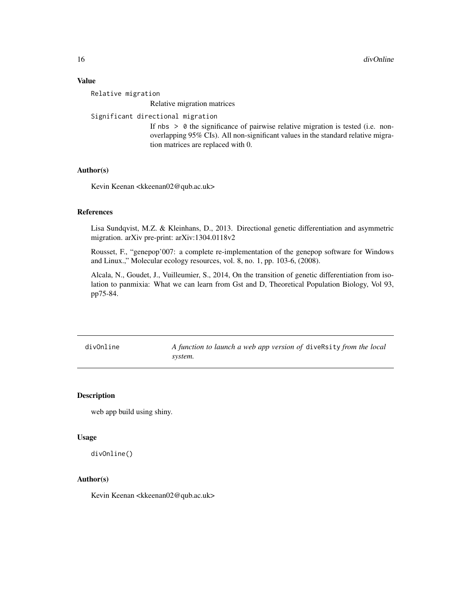#### Value

Relative migration Relative migration matrices Significant directional migration

If nbs > 0 the significance of pairwise relative migration is tested (i.e. nonoverlapping 95% CIs). All non-significant values in the standard relative migration matrices are replaced with 0.

#### Author(s)

Kevin Keenan <kkeenan02@qub.ac.uk>

#### References

Lisa Sundqvist, M.Z. & Kleinhans, D., 2013. Directional genetic differentiation and asymmetric migration. arXiv pre-print: arXiv:1304.0118v2

Rousset, F., "genepop'007: a complete re-implementation of the genepop software for Windows and Linux.," Molecular ecology resources, vol. 8, no. 1, pp. 103-6, (2008).

Alcala, N., Goudet, J., Vuilleumier, S., 2014, On the transition of genetic differentiation from isolation to panmixia: What we can learn from Gst and D, Theoretical Population Biology, Vol 93, pp75-84.

divOnline *A function to launch a web app version of* diveRsity *from the local system.*

#### Description

web app build using shiny.

#### Usage

divOnline()

#### Author(s)

Kevin Keenan <kkeenan02@qub.ac.uk>

<span id="page-15-0"></span>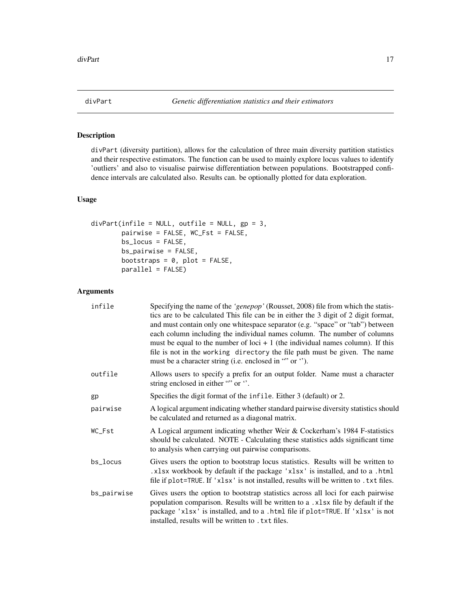<span id="page-16-0"></span>

### Description

divPart (diversity partition), allows for the calculation of three main diversity partition statistics and their respective estimators. The function can be used to mainly explore locus values to identify 'outliers' and also to visualise pairwise differentiation between populations. Bootstrapped confidence intervals are calculated also. Results can. be optionally plotted for data exploration.

#### Usage

```
divPart(infile = NULL, outfile = NULL, gp = 3,
        pairwise = FALSE, WC_Fst = FALSE,
        bs_locus = FALSE,
        bs_pairwise = FALSE,
        bootstraps = 0, plot = FALSE,
        parallel = FALSE)
```
#### Arguments

| infile      | Specifying the name of the 'genepop' (Rousset, 2008) file from which the statis-<br>tics are to be calculated This file can be in either the 3 digit of 2 digit format,<br>and must contain only one whitespace separator (e.g. "space" or "tab") between<br>each column including the individual names column. The number of columns<br>must be equal to the number of loci $+1$ (the individual names column). If this<br>file is not in the working directory the file path must be given. The name<br>must be a character string (i.e. enclosed in "" or "). |
|-------------|------------------------------------------------------------------------------------------------------------------------------------------------------------------------------------------------------------------------------------------------------------------------------------------------------------------------------------------------------------------------------------------------------------------------------------------------------------------------------------------------------------------------------------------------------------------|
| outfile     | Allows users to specify a prefix for an output folder. Name must a character<br>string enclosed in either "" or ".                                                                                                                                                                                                                                                                                                                                                                                                                                               |
| gp          | Specifies the digit format of the infile. Either 3 (default) or 2.                                                                                                                                                                                                                                                                                                                                                                                                                                                                                               |
| pairwise    | A logical argument indicating whether standard pairwise diversity statistics should<br>be calculated and returned as a diagonal matrix.                                                                                                                                                                                                                                                                                                                                                                                                                          |
| WC_Fst      | A Logical argument indicating whether Weir & Cockerham's 1984 F-statistics<br>should be calculated. NOTE - Calculating these statistics adds significant time<br>to analysis when carrying out pairwise comparisons.                                                                                                                                                                                                                                                                                                                                             |
| bs_locus    | Gives users the option to bootstrap locus statistics. Results will be written to<br>.xlsx workbook by default if the package 'xlsx' is installed, and to a .html<br>file if plot=TRUE. If 'xlsx' is not installed, results will be written to . txt files.                                                                                                                                                                                                                                                                                                       |
| bs_pairwise | Gives users the option to bootstrap statistics across all loci for each pairwise<br>population comparison. Results will be written to a .x1sx file by default if the<br>package 'xlsx' is installed, and to a .html file if plot=TRUE. If 'xlsx' is not<br>installed, results will be written to . txt files.                                                                                                                                                                                                                                                    |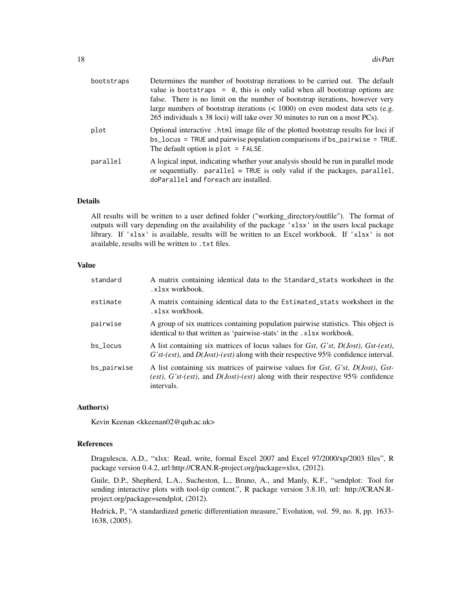| bootstraps | Determines the number of bootstrap iterations to be carried out. The default<br>value is bootstraps = $\theta$ , this is only valid when all bootstrap options are<br>false. There is no limit on the number of bootstrap iterations, however very<br>large numbers of bootstrap iterations $(< 1000$ ) on even modest data sets (e.g.<br>265 individuals x 38 loci) will take over 30 minutes to run on a most PCs). |
|------------|-----------------------------------------------------------------------------------------------------------------------------------------------------------------------------------------------------------------------------------------------------------------------------------------------------------------------------------------------------------------------------------------------------------------------|
| plot       | Optional interactive. html image file of the plotted bootstrap results for loci if<br>$bs\_locus$ = TRUE and pairwise population comparisons if $bs\_pairwise$ = TRUE.<br>The default option is $plot = FALSE$ .                                                                                                                                                                                                      |
| parallel   | A logical input, indicating whether your analysis should be run in parallel mode<br>or sequentially. $parallel = TRUE$ is only valid if the packages, parallel,<br>doParallel and foreach are installed.                                                                                                                                                                                                              |

#### Details

All results will be written to a user defined folder ("working\_directory/outfile"). The format of outputs will vary depending on the availability of the package 'xlsx' in the users local package library. If 'xlsx' is available, results will be written to an Excel workbook. If 'xlsx' is not available, results will be written to . txt files.

#### Value

| standard    | A matrix containing identical data to the Standard_stats worksheet in the<br>.xlsx workbook.                                                                                                                                   |
|-------------|--------------------------------------------------------------------------------------------------------------------------------------------------------------------------------------------------------------------------------|
| estimate    | A matrix containing identical data to the Estimated_stats worksheet in the<br>.xlsx workbook.                                                                                                                                  |
| pairwise    | A group of six matrices containing population pairwise statistics. This object is<br>identical to that written as 'pairwise-stats' in the .xlsx workbook.                                                                      |
| bs locus    | A list containing six matrices of locus values for Gst, G'st, D(Jost), Gst-(est),<br>$G'$ st-(est), and $D(lost)$ -(est) along with their respective 95% confidence interval.                                                  |
| bs_pairwise | A list containing six matrices of pairwise values for <i>Gst</i> , <i>G'st</i> , <i>D</i> ( <i>Jost</i> ), <i>Gst</i> -<br>(est), $G'$ st-(est), and $D(lost)$ -(est) along with their respective 95% confidence<br>intervals. |

#### Author(s)

Kevin Keenan <kkeenan02@qub.ac.uk>

#### References

Dragulescu, A.D., "xlsx: Read, write, formal Excel 2007 and Excel 97/2000/xp/2003 files", R package version 0.4.2, url:http://CRAN.R-project.org/package=xlsx, (2012).

Guile, D.P., Shepherd, L.A., Sucheston, L., Bruno, A., and Manly, K.F., "sendplot: Tool for sending interactive plots with tool-tip content.", R package version 3.8.10, url: http://CRAN.Rproject.org/package=sendplot, (2012).

Hedrick, P., "A standardized genetic differentiation measure," Evolution, vol. 59, no. 8, pp. 1633- 1638, (2005).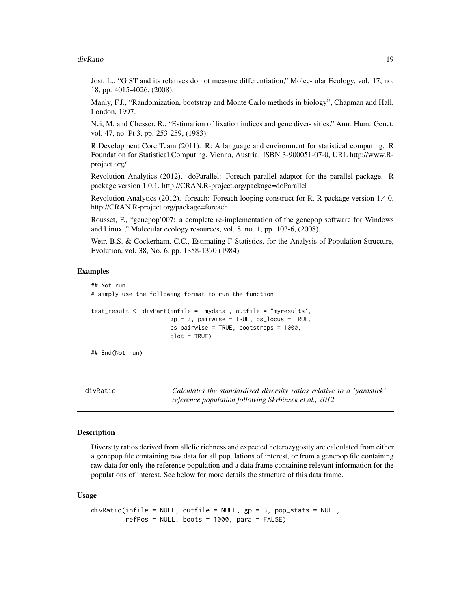#### <span id="page-18-0"></span>divRatio 19

Jost, L., "G ST and its relatives do not measure differentiation," Molec- ular Ecology, vol. 17, no. 18, pp. 4015-4026, (2008).

Manly, F.J., "Randomization, bootstrap and Monte Carlo methods in biology", Chapman and Hall, London, 1997.

Nei, M. and Chesser, R., "Estimation of fixation indices and gene diver- sities," Ann. Hum. Genet, vol. 47, no. Pt 3, pp. 253-259, (1983).

R Development Core Team (2011). R: A language and environment for statistical computing. R Foundation for Statistical Computing, Vienna, Austria. ISBN 3-900051-07-0, URL http://www.Rproject.org/.

Revolution Analytics (2012). doParallel: Foreach parallel adaptor for the parallel package. R package version 1.0.1. http://CRAN.R-project.org/package=doParallel

Revolution Analytics (2012). foreach: Foreach looping construct for R. R package version 1.4.0. http://CRAN.R-project.org/package=foreach

Rousset, F., "genepop'007: a complete re-implementation of the genepop software for Windows and Linux.," Molecular ecology resources, vol. 8, no. 1, pp. 103-6, (2008).

Weir, B.S. & Cockerham, C.C., Estimating F-Statistics, for the Analysis of Population Structure, Evolution, vol. 38, No. 6, pp. 1358-1370 (1984).

#### Examples

## Not run: # simply use the following format to run the function test\_result <- divPart(infile = 'mydata', outfile = "myresults',  $gp = 3$ , pairwise = TRUE, bs\_locus = TRUE, bs\_pairwise = TRUE, bootstraps = 1000, plot = TRUE)

## End(Not run)

divRatio *Calculates the standardised diversity ratios relative to a 'yardstick' reference population following Skrbinsek et al., 2012.*

#### **Description**

Diversity ratios derived from allelic richness and expected heterozygosity are calculated from either a genepop file containing raw data for all populations of interest, or from a genepop file containing raw data for only the reference population and a data frame containing relevant information for the populations of interest. See below for more details the structure of this data frame.

#### Usage

```
divRatio(infile = NULL, outfile = NULL, gp = 3, pop_stats = NULL,
         refPos = NULL, boots = 1000, para = FALSE)
```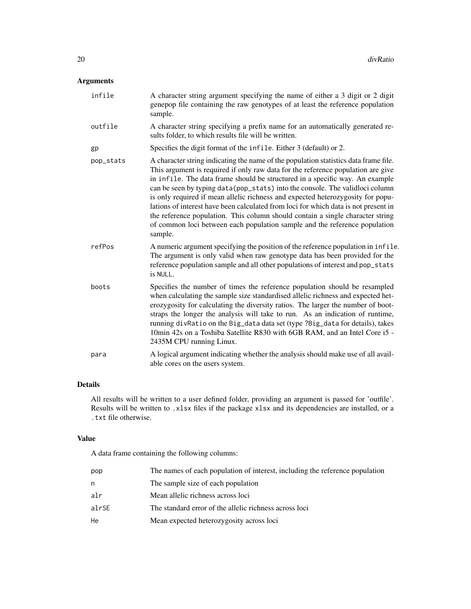#### Arguments

| infile    | A character string argument specifying the name of either a 3 digit or 2 digit<br>genepop file containing the raw genotypes of at least the reference population<br>sample.                                                                                                                                                                                                                                                                                                                                                                                                                                                                                                                    |
|-----------|------------------------------------------------------------------------------------------------------------------------------------------------------------------------------------------------------------------------------------------------------------------------------------------------------------------------------------------------------------------------------------------------------------------------------------------------------------------------------------------------------------------------------------------------------------------------------------------------------------------------------------------------------------------------------------------------|
| outfile   | A character string specifying a prefix name for an automatically generated re-<br>sults folder, to which results file will be written.                                                                                                                                                                                                                                                                                                                                                                                                                                                                                                                                                         |
| gp        | Specifies the digit format of the infile. Either 3 (default) or 2.                                                                                                                                                                                                                                                                                                                                                                                                                                                                                                                                                                                                                             |
| pop_stats | A character string indicating the name of the population statistics data frame file.<br>This argument is required if only raw data for the reference population are give<br>in infile. The data frame should be structured in a specific way. An example<br>can be seen by typing data (pop_stats) into the console. The validloci column<br>is only required if mean allelic richness and expected heterozygosity for popu-<br>lations of interest have been calculated from loci for which data is not present in<br>the reference population. This column should contain a single character string<br>of common loci between each population sample and the reference population<br>sample. |
| refPos    | A numeric argument specifying the position of the reference population in infile.<br>The argument is only valid when raw genotype data has been provided for the<br>reference population sample and all other populations of interest and pop_stats<br>is NULL.                                                                                                                                                                                                                                                                                                                                                                                                                                |
| boots     | Specifies the number of times the reference population should be resampled<br>when calculating the sample size standardised allelic richness and expected het-<br>erozygosity for calculating the diversity ratios. The larger the number of boot-<br>straps the longer the analysis will take to run. As an indication of runtime,<br>running divRatio on the Big_data data set (type ?Big_data for details), takes<br>10min 42s on a Toshiba Satellite R830 with 6GB RAM, and an Intel Core i5 -<br>2435M CPU running Linux.                                                                                                                                                                 |
| para      | A logical argument indicating whether the analysis should make use of all avail-<br>able cores on the users system.                                                                                                                                                                                                                                                                                                                                                                                                                                                                                                                                                                            |

#### Details

All results will be written to a user defined folder, providing an argument is passed for 'outfile'. Results will be written to .xlsx files if the package xlsx and its dependencies are installed, or a .txt file otherwise.

#### Value

A data frame containing the following columns:

| pop   | The names of each population of interest, including the reference population |
|-------|------------------------------------------------------------------------------|
| n     | The sample size of each population                                           |
| alr   | Mean allelic richness across loci                                            |
| alrSE | The standard error of the allelic richness across loci                       |
| He    | Mean expected heterozygosity across loci                                     |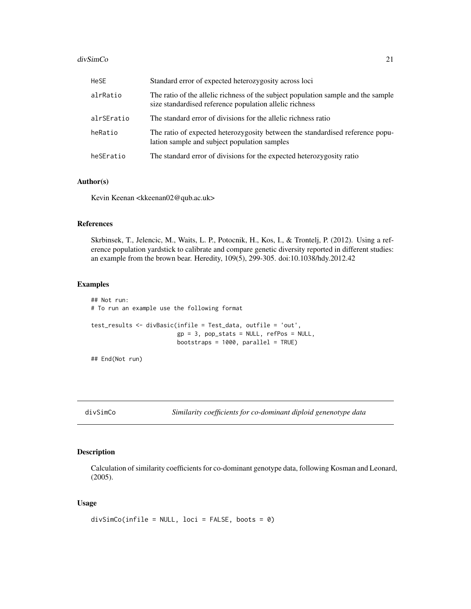#### <span id="page-20-0"></span>divSimCo 21

| HeSE       | Standard error of expected heterozygosity across loci                                                                                        |
|------------|----------------------------------------------------------------------------------------------------------------------------------------------|
| alrRatio   | The ratio of the allelic richness of the subject population sample and the sample<br>size standardised reference population allelic richness |
| alrSEratio | The standard error of divisions for the allelic richness ratio                                                                               |
| heRatio    | The ratio of expected heterozygosity between the standardised reference popu-<br>lation sample and subject population samples                |
| heSEratio  | The standard error of divisions for the expected heterozygosity ratio                                                                        |

#### Author(s)

Kevin Keenan <kkeenan02@qub.ac.uk>

#### References

Skrbinsek, T., Jelencic, M., Waits, L. P., Potocnik, H., Kos, I., & Trontelj, P. (2012). Using a reference population yardstick to calibrate and compare genetic diversity reported in different studies: an example from the brown bear. Heredity, 109(5), 299-305. doi:10.1038/hdy.2012.42

#### Examples

```
## Not run:
# To run an example use the following format
test_results <- divBasic(infile = Test_data, outfile = 'out',
                        gp = 3, pop_stats = NULL, refPos = NULL,
                        bootstraps = 1000, parallel = TRUE)
```
## End(Not run)

divSimCo *Similarity coefficients for co-dominant diploid genenotype data*

#### Description

Calculation of similarity coefficients for co-dominant genotype data, following Kosman and Leonard, (2005).

#### Usage

```
divSimCo(infile = NULL, loci = FALSE, boots = 0)
```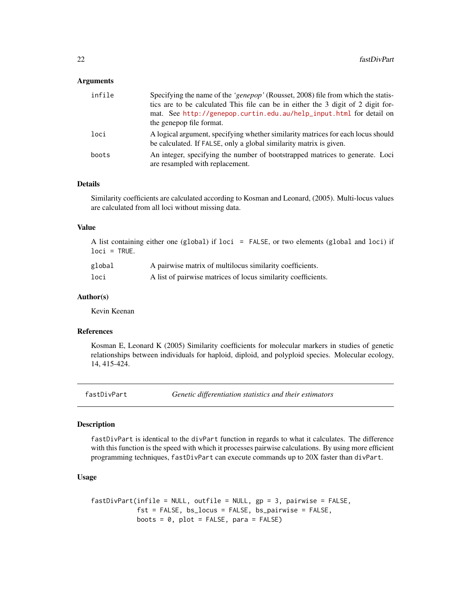#### <span id="page-21-0"></span>**Arguments**

| infile | Specifying the name of the 'genepop' (Rousset, 2008) file from which the statis-<br>tics are to be calculated This file can be in either the 3 digit of 2 digit for-<br>mat. See http://genepop.curtin.edu.au/help_input.html for detail on<br>the genepop file format. |
|--------|-------------------------------------------------------------------------------------------------------------------------------------------------------------------------------------------------------------------------------------------------------------------------|
| loci   | A logical argument, specifying whether similarity matrices for each locus should<br>be calculated. If FALSE, only a global similarity matrix is given.                                                                                                                  |
| boots  | An integer, specifying the number of bootstrapped matrices to generate. Loci<br>are resampled with replacement.                                                                                                                                                         |

#### **Details**

Similarity coefficients are calculated according to Kosman and Leonard, (2005). Multi-locus values are calculated from all loci without missing data.

#### Value

A list containing either one (global) if loci = FALSE, or two elements (global and loci) if loci = TRUE.

| global | A pairwise matrix of multilocus similarity coefficients.      |
|--------|---------------------------------------------------------------|
| loci   | A list of pairwise matrices of locus similarity coefficients. |

#### Author(s)

Kevin Keenan

#### References

Kosman E, Leonard K (2005) Similarity coefficients for molecular markers in studies of genetic relationships between individuals for haploid, diploid, and polyploid species. Molecular ecology, 14, 415-424.

fastDivPart *Genetic differentiation statistics and their estimators*

#### Description

fastDivPart is identical to the divPart function in regards to what it calculates. The difference with this function is the speed with which it processes pairwise calculations. By using more efficient programming techniques, fastDivPart can execute commands up to 20X faster than divPart.

#### Usage

```
fastDivPart(infile = NULL, outfile = NULL, gp = 3, pairwise = FALSE,
           fst = FALSE, bs_locus = FALSE, bs_pairwise = FALSE,
           books = 0, plot = FALSE, para = FALSE)
```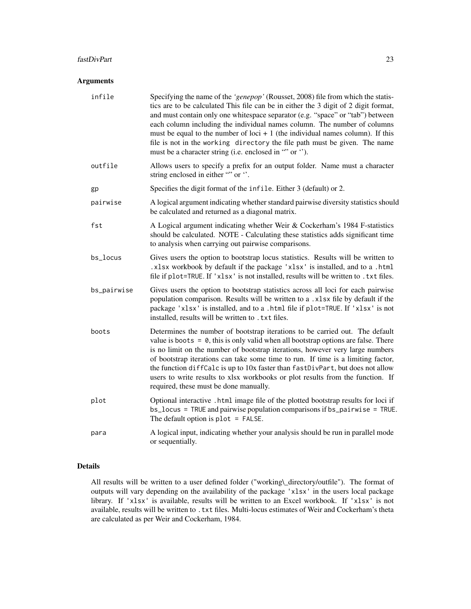#### fastDivPart 23

#### Arguments

| infile      | Specifying the name of the 'genepop' (Rousset, 2008) file from which the statis-<br>tics are to be calculated This file can be in either the 3 digit of 2 digit format,<br>and must contain only one whitespace separator (e.g. "space" or "tab") between<br>each column including the individual names column. The number of columns<br>must be equal to the number of loci $+1$ (the individual names column). If this<br>file is not in the working directory the file path must be given. The name<br>must be a character string (i.e. enclosed in "" or "). |
|-------------|------------------------------------------------------------------------------------------------------------------------------------------------------------------------------------------------------------------------------------------------------------------------------------------------------------------------------------------------------------------------------------------------------------------------------------------------------------------------------------------------------------------------------------------------------------------|
| outfile     | Allows users to specify a prefix for an output folder. Name must a character<br>string enclosed in either "" or ".                                                                                                                                                                                                                                                                                                                                                                                                                                               |
| gp          | Specifies the digit format of the infile. Either 3 (default) or 2.                                                                                                                                                                                                                                                                                                                                                                                                                                                                                               |
| pairwise    | A logical argument indicating whether standard pairwise diversity statistics should<br>be calculated and returned as a diagonal matrix.                                                                                                                                                                                                                                                                                                                                                                                                                          |
| fst         | A Logical argument indicating whether Weir & Cockerham's 1984 F-statistics<br>should be calculated. NOTE - Calculating these statistics adds significant time<br>to analysis when carrying out pairwise comparisons.                                                                                                                                                                                                                                                                                                                                             |
| bs_locus    | Gives users the option to bootstrap locus statistics. Results will be written to<br>.xlsx workbook by default if the package 'xlsx' is installed, and to a .html<br>file if plot=TRUE. If 'xlsx' is not installed, results will be written to . txt files.                                                                                                                                                                                                                                                                                                       |
| bs_pairwise | Gives users the option to bootstrap statistics across all loci for each pairwise<br>population comparison. Results will be written to a .xlsx file by default if the<br>package 'xlsx' is installed, and to a .html file if plot=TRUE. If 'xlsx' is not<br>installed, results will be written to . txt files.                                                                                                                                                                                                                                                    |
| boots       | Determines the number of bootstrap iterations to be carried out. The default<br>value is boots $= 0$ , this is only valid when all bootstrap options are false. There<br>is no limit on the number of bootstrap iterations, however very large numbers<br>of bootstrap iterations can take some time to run. If time is a limiting factor,<br>the function diffCalc is up to 10x faster than fastDivPart, but does not allow<br>users to write results to xlsx workbooks or plot results from the function. If<br>required, these must be done manually.         |
| plot        | Optional interactive .html image file of the plotted bootstrap results for loci if<br>bs_locus = TRUE and pairwise population comparisons if bs_pairwise = TRUE.<br>The default option is $plot = FALSE$ .                                                                                                                                                                                                                                                                                                                                                       |
| para        | A logical input, indicating whether your analysis should be run in parallel mode<br>or sequentially.                                                                                                                                                                                                                                                                                                                                                                                                                                                             |

#### Details

All results will be written to a user defined folder ("working\\_directory/outfile"). The format of outputs will vary depending on the availability of the package 'xlsx' in the users local package library. If 'xlsx' is available, results will be written to an Excel workbook. If 'xlsx' is not available, results will be written to . txt files. Multi-locus estimates of Weir and Cockerham's theta are calculated as per Weir and Cockerham, 1984.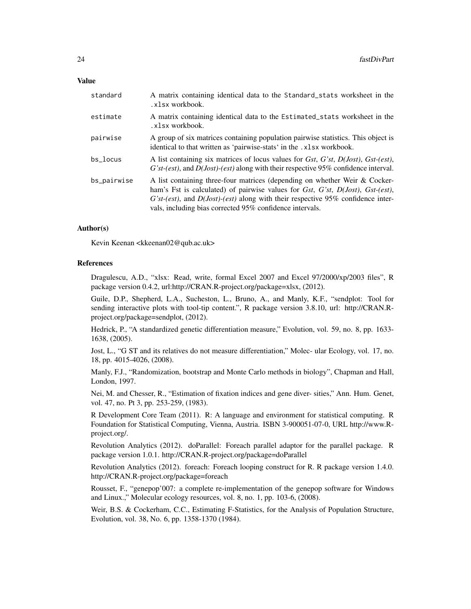#### Value

| standard    | A matrix containing identical data to the Standard_stats worksheet in the<br>.xlsx workbook.                                                                                                                                                                                                                                                               |
|-------------|------------------------------------------------------------------------------------------------------------------------------------------------------------------------------------------------------------------------------------------------------------------------------------------------------------------------------------------------------------|
| estimate    | A matrix containing identical data to the Estimated_stats worksheet in the<br>.xlsx workbook.                                                                                                                                                                                                                                                              |
| pairwise    | A group of six matrices containing population pairwise statistics. This object is<br>identical to that written as 'pairwise-stats' in the .xlsx workbook.                                                                                                                                                                                                  |
| bs locus    | A list containing six matrices of locus values for <i>Gst</i> , <i>G'st</i> , <i>D</i> ( <i>Jost</i> ), <i>Gst</i> -( <i>est</i> ),<br>$G'$ st-(est), and $D(lost)$ -(est) along with their respective 95% confidence interval.                                                                                                                            |
| bs_pairwise | A list containing three-four matrices (depending on whether Weir & Cocker-<br>ham's Fst is calculated) of pairwise values for <i>Gst</i> , <i>G'st</i> , <i>D</i> ( <i>Jost</i> ), <i>Gst-(est</i> ),<br>$G'$ st-(est), and $D(lost)$ -(est) along with their respective 95% confidence inter-<br>vals, including bias corrected 95% confidence intervals. |

#### Author(s)

Kevin Keenan <kkeenan02@qub.ac.uk>

#### References

Dragulescu, A.D., "xlsx: Read, write, formal Excel 2007 and Excel 97/2000/xp/2003 files", R package version 0.4.2, url:http://CRAN.R-project.org/package=xlsx, (2012).

Guile, D.P., Shepherd, L.A., Sucheston, L., Bruno, A., and Manly, K.F., "sendplot: Tool for sending interactive plots with tool-tip content.", R package version 3.8.10, url: http://CRAN.Rproject.org/package=sendplot, (2012).

Hedrick, P., "A standardized genetic differentiation measure," Evolution, vol. 59, no. 8, pp. 1633- 1638, (2005).

Jost, L., "G ST and its relatives do not measure differentiation," Molec- ular Ecology, vol. 17, no. 18, pp. 4015-4026, (2008).

Manly, F.J., "Randomization, bootstrap and Monte Carlo methods in biology", Chapman and Hall, London, 1997.

Nei, M. and Chesser, R., "Estimation of fixation indices and gene diver- sities," Ann. Hum. Genet, vol. 47, no. Pt 3, pp. 253-259, (1983).

R Development Core Team (2011). R: A language and environment for statistical computing. R Foundation for Statistical Computing, Vienna, Austria. ISBN 3-900051-07-0, URL http://www.Rproject.org/.

Revolution Analytics (2012). doParallel: Foreach parallel adaptor for the parallel package. R package version 1.0.1. http://CRAN.R-project.org/package=doParallel

Revolution Analytics (2012). foreach: Foreach looping construct for R. R package version 1.4.0. http://CRAN.R-project.org/package=foreach

Rousset, F., "genepop'007: a complete re-implementation of the genepop software for Windows and Linux.," Molecular ecology resources, vol. 8, no. 1, pp. 103-6, (2008).

Weir, B.S. & Cockerham, C.C., Estimating F-Statistics, for the Analysis of Population Structure, Evolution, vol. 38, No. 6, pp. 1358-1370 (1984).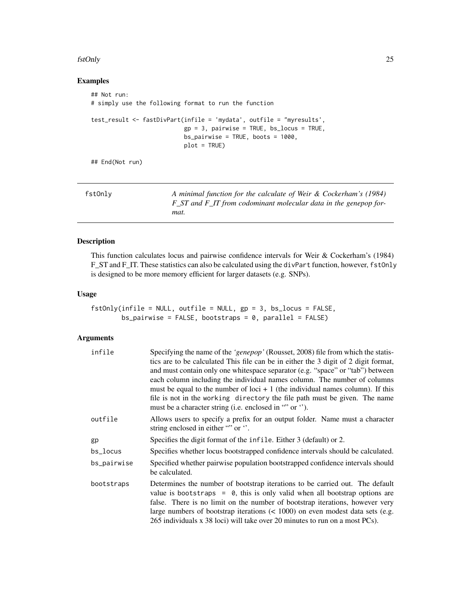#### <span id="page-24-0"></span>fstOnly 25

#### Examples

```
## Not run:
# simply use the following format to run the function
test_result <- fastDivPart(infile = 'mydata', outfile = "myresults',
                           gp = 3, pairwise = TRUE, bs_locus = TRUE,
                           bs_pairwise = TRUE, boots = 1000,
                           plot = TRUE)
## End(Not run)
```

| fstOnly | A minimal function for the calculate of Weir & Cockerham's (1984)<br>F ST and F IT from codominant molecular data in the genepop for-<br>mat. |
|---------|-----------------------------------------------------------------------------------------------------------------------------------------------|
|         |                                                                                                                                               |

#### Description

This function calculates locus and pairwise confidence intervals for Weir & Cockerham's (1984) F\_ST and F\_IT. These statistics can also be calculated using the divPart function, however, fstOnly is designed to be more memory efficient for larger datasets (e.g. SNPs).

#### Usage

```
fstOnly(infile = NULL, outfile = NULL, gp = 3, bs_locus = FALSE,
       bs_pairwise = FALSE, bootstraps = 0, parallel = FALSE)
```
#### Arguments

| infile      | Specifying the name of the 'genepop' (Rousset, 2008) file from which the statis-<br>tics are to be calculated This file can be in either the 3 digit of 2 digit format,<br>and must contain only one whitespace separator (e.g. "space" or "tab") between<br>each column including the individual names column. The number of columns<br>must be equal to the number of loci $+1$ (the individual names column). If this |
|-------------|--------------------------------------------------------------------------------------------------------------------------------------------------------------------------------------------------------------------------------------------------------------------------------------------------------------------------------------------------------------------------------------------------------------------------|
|             | file is not in the working directory the file path must be given. The name<br>must be a character string (i.e. enclosed in "" or ").                                                                                                                                                                                                                                                                                     |
| outfile     | Allows users to specify a prefix for an output folder. Name must a character<br>string enclosed in either "" or ".                                                                                                                                                                                                                                                                                                       |
| gp          | Specifies the digit format of the infile. Either 3 (default) or 2.                                                                                                                                                                                                                                                                                                                                                       |
| bs_locus    | Specifies whether locus bootstrapped confidence intervals should be calculated.                                                                                                                                                                                                                                                                                                                                          |
| bs_pairwise | Specified whether pairwise population bootstrapped confidence intervals should<br>be calculated.                                                                                                                                                                                                                                                                                                                         |
| bootstraps  | Determines the number of bootstrap iterations to be carried out. The default<br>value is bootstraps = $\theta$ , this is only valid when all bootstrap options are<br>false. There is no limit on the number of bootstrap iterations, however very<br>large numbers of bootstrap iterations $(< 1000$ ) on even modest data sets (e.g.<br>265 individuals x 38 loci) will take over 20 minutes to run on a most PCs).    |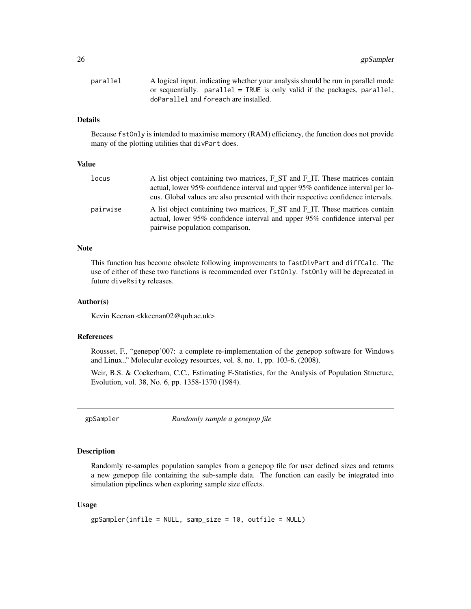<span id="page-25-0"></span>26 gpSampler

| parallel | A logical input, indicating whether your analysis should be run in parallel mode |
|----------|----------------------------------------------------------------------------------|
|          | or sequentially, parallel $=$ TRUE is only valid if the packages, parallel,      |
|          | doParallel and foreach are installed.                                            |

#### Details

Because fstOnly is intended to maximise memory (RAM) efficiency, the function does not provide many of the plotting utilities that divPart does.

#### Value

| locus    | A list object containing two matrices, F_ST and F_IT. These matrices contain                                                                                                                         |
|----------|------------------------------------------------------------------------------------------------------------------------------------------------------------------------------------------------------|
|          | actual, lower 95% confidence interval and upper 95% confidence interval per lo-                                                                                                                      |
|          | cus. Global values are also presented with their respective confidence intervals.                                                                                                                    |
| pairwise | A list object containing two matrices, F_ST and F_IT. These matrices contain<br>actual, lower $95\%$ confidence interval and upper $95\%$ confidence interval per<br>pairwise population comparison. |

#### Note

This function has become obsolete following improvements to fastDivPart and diffCalc. The use of either of these two functions is recommended over fstOnly. fstOnly will be deprecated in future diveRsity releases.

#### Author(s)

Kevin Keenan <kkeenan02@qub.ac.uk>

#### References

Rousset, F., "genepop'007: a complete re-implementation of the genepop software for Windows and Linux.," Molecular ecology resources, vol. 8, no. 1, pp. 103-6, (2008).

Weir, B.S. & Cockerham, C.C., Estimating F-Statistics, for the Analysis of Population Structure, Evolution, vol. 38, No. 6, pp. 1358-1370 (1984).

gpSampler *Randomly sample a genepop file*

#### Description

Randomly re-samples population samples from a genepop file for user defined sizes and returns a new genepop file containing the sub-sample data. The function can easily be integrated into simulation pipelines when exploring sample size effects.

#### Usage

```
gpSampler(infile = NULL, samp_size = 10, outfile = NULL)
```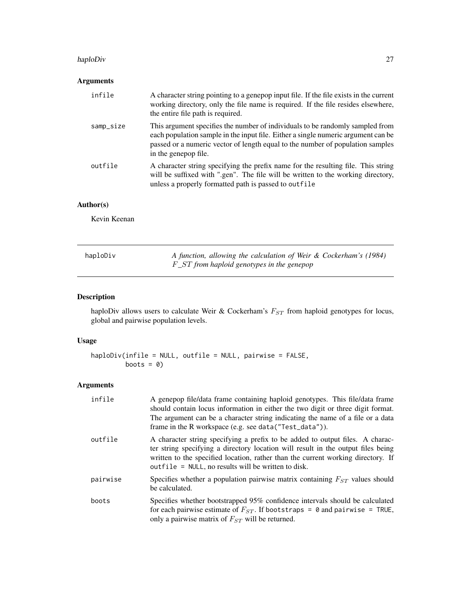#### <span id="page-26-0"></span>haploDiv 27

#### Arguments

| infile    | A character string pointing to a genepop input file. If the file exists in the current<br>working directory, only the file name is required. If the file resides elsewhere,<br>the entire file path is required.                                                             |
|-----------|------------------------------------------------------------------------------------------------------------------------------------------------------------------------------------------------------------------------------------------------------------------------------|
| samp_size | This argument specifies the number of individuals to be randomly sampled from<br>each population sample in the input file. Either a single numeric argument can be<br>passed or a numeric vector of length equal to the number of population samples<br>in the genepop file. |
| outfile   | A character string specifying the prefix name for the resulting file. This string<br>will be suffixed with ".gen". The file will be written to the working directory,<br>unless a properly formatted path is passed to outfile                                               |

#### Author(s)

Kevin Keenan

| haploDiv | A function, allowing the calculation of Weir & Cockerham's (1984) |
|----------|-------------------------------------------------------------------|
|          | $F\_ST$ from haploid genotypes in the genepop                     |

#### Description

haploDiv allows users to calculate Weir & Cockerham's  $F_{ST}$  from haploid genotypes for locus, global and pairwise population levels.

#### Usage

```
haploDiv(infile = NULL, outfile = NULL, pairwise = FALSE,
        boots = 0)
```
#### Arguments

| infile   | A genepop file/data frame containing haploid genotypes. This file/data frame<br>should contain locus information in either the two digit or three digit format.<br>The argument can be a character string indicating the name of a file or a data<br>frame in the R workspace (e.g. see data("Test_data")).     |
|----------|-----------------------------------------------------------------------------------------------------------------------------------------------------------------------------------------------------------------------------------------------------------------------------------------------------------------|
| outfile  | A character string specifying a prefix to be added to output files. A charac-<br>ter string specifying a directory location will result in the output files being<br>written to the specified location, rather than the current working directory. If<br>outfile = $NULL$ , no results will be written to disk. |
| pairwise | Specifies whether a population pairwise matrix containing $F_{ST}$ values should<br>be calculated.                                                                                                                                                                                                              |
| boots    | Specifies whether bootstrapped 95% confidence intervals should be calculated<br>for each pairwise estimate of $F_{ST}$ . If bootstraps = 0 and pairwise = TRUE,<br>only a pairwise matrix of $F_{ST}$ will be returned.                                                                                         |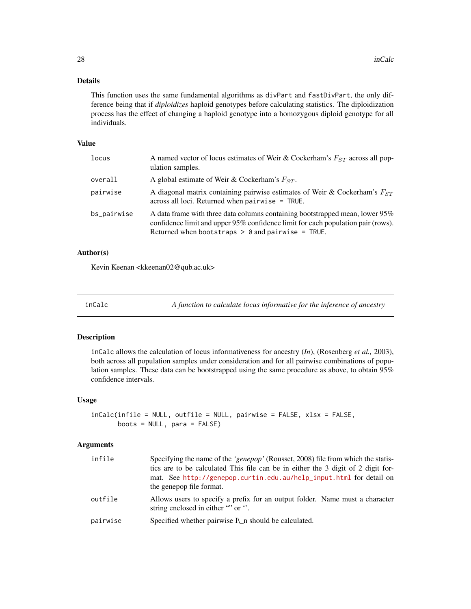#### <span id="page-27-0"></span>Details

This function uses the same fundamental algorithms as divPart and fastDivPart, the only difference being that if *diploidizes* haploid genotypes before calculating statistics. The diploidization process has the effect of changing a haploid genotype into a homozygous diploid genotype for all individuals.

#### Value

| locus       | A named vector of locus estimates of Weir & Cockerham's $F_{ST}$ across all pop-<br>ulation samples.                                                                                                                    |
|-------------|-------------------------------------------------------------------------------------------------------------------------------------------------------------------------------------------------------------------------|
| overall     | A global estimate of Weir & Cockerham's $F_{ST}$ .                                                                                                                                                                      |
| pairwise    | A diagonal matrix containing pairwise estimates of Weir & Cockerham's $F_{ST}$<br>$across$ all loci. Returned when $pairwise = TRUE$ .                                                                                  |
| bs_pairwise | A data frame with three data columns containing bootstrapped mean, lower 95%<br>confidence limit and upper 95% confidence limit for each population pair (rows).<br>Returned when bootstraps $> 0$ and pairwise = TRUE. |

#### Author(s)

Kevin Keenan <kkeenan02@qub.ac.uk>

inCalc *A function to calculate locus informative for the inference of ancestry*

#### Description

inCalc allows the calculation of locus informativeness for ancestry (*In*), (Rosenberg *et al.,* 2003), both across all population samples under consideration and for all pairwise combinations of population samples. These data can be bootstrapped using the same procedure as above, to obtain 95% confidence intervals.

#### Usage

```
inCalc(infile = NULL, outfile = NULL, pairwise = FALSE, xlsx = FALSE,
      boosts = NULL, para = FALSE)
```
#### Arguments

| infile   | Specifying the name of the <i>'genepop'</i> (Rousset, 2008) file from which the statis-<br>tics are to be calculated This file can be in either the 3 digit of 2 digit for-<br>mat. See http://genepop.curtin.edu.au/help_input.html for detail on<br>the genepop file format. |
|----------|--------------------------------------------------------------------------------------------------------------------------------------------------------------------------------------------------------------------------------------------------------------------------------|
| outfile  | Allows users to specify a prefix for an output folder. Name must a character<br>string enclosed in either " $\cdot$ " or ".                                                                                                                                                    |
| pairwise | Specified whether pairwise $\Gamma$ n should be calculated.                                                                                                                                                                                                                    |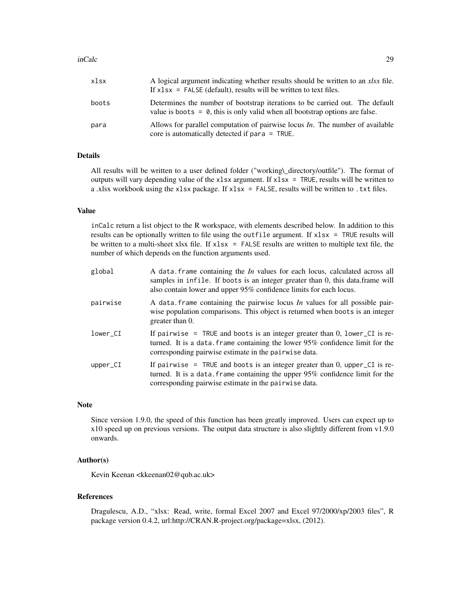#### inCalc 29

| xlsx  | A logical argument indicating whether results should be written to an xlsx file.<br>If $x \text{lsx}$ = FALSE (default), results will be written to text files. |
|-------|-----------------------------------------------------------------------------------------------------------------------------------------------------------------|
| boots | Determines the number of bootstrap iterations to be carried out. The default<br>value is boots $= 0$ , this is only valid when all bootstrap options are false. |
| para  | Allows for parallel computation of pairwise locus $In.$ The number of available<br>core is automatically detected if $para = TRUE$ .                            |

#### Details

All results will be written to a user defined folder ("working\\_directory/outfile"). The format of outputs will vary depending value of the xlsx argument. If xlsx = TRUE, results will be written to a .xlsx workbook using the xlsx package. If  $x$ lsx = FALSE, results will be written to .txt files.

#### Value

inCalc return a list object to the R workspace, with elements described below. In addition to this results can be optionally written to file using the outfile argument. If xlsx = TRUE results will be written to a multi-sheet xlsx file. If  $x$ ls $x =$  FALSE results are written to multiple text file, the number of which depends on the function arguments used.

| global     | A data frame containing the $In$ values for each locus, calculated across all<br>samples in infile. If boots is an integer greater than 0, this data.frame will<br>also contain lower and upper 95% confidence limits for each locus. |
|------------|---------------------------------------------------------------------------------------------------------------------------------------------------------------------------------------------------------------------------------------|
| pairwise   | A data frame containing the pairwise locus $In$ values for all possible pair-<br>wise population comparisons. This object is returned when boots is an integer<br>greater than 0.                                                     |
| lower CI   | If pairwise $=$ TRUE and boots is an integer greater than 0, lower_CI is re-<br>turned. It is a data, frame containing the lower 95% confidence limit for the<br>corresponding pairwise estimate in the pairwise data.                |
| $upper_CI$ | If pairwise $=$ TRUE and boots is an integer greater than 0, upper $\text{CI}$ is re-<br>turned. It is a data, frame containing the upper 95% confidence limit for the<br>corresponding pairwise estimate in the pairwise data.       |

#### **Note**

Since version 1.9.0, the speed of this function has been greatly improved. Users can expect up to x10 speed up on previous versions. The output data structure is also slightly different from v1.9.0 onwards.

#### Author(s)

Kevin Keenan <kkeenan02@qub.ac.uk>

#### References

Dragulescu, A.D., "xlsx: Read, write, formal Excel 2007 and Excel 97/2000/xp/2003 files", R package version 0.4.2, url:http://CRAN.R-project.org/package=xlsx, (2012).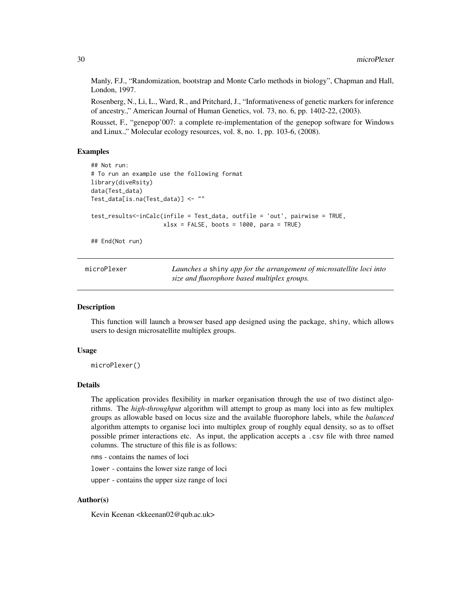Manly, F.J., "Randomization, bootstrap and Monte Carlo methods in biology", Chapman and Hall, London, 1997.

Rosenberg, N., Li, L., Ward, R., and Pritchard, J., "Informativeness of genetic markers for inference of ancestry.," American Journal of Human Genetics, vol. 73, no. 6, pp. 1402-22, (2003).

Rousset, F., "genepop'007: a complete re-implementation of the genepop software for Windows and Linux.," Molecular ecology resources, vol. 8, no. 1, pp. 103-6, (2008).

#### Examples

```
## Not run:
# To run an example use the following format
library(diveRsity)
data(Test_data)
Test_data[is.na(Test_data)] <- ""
test_results<-inCalc(infile = Test_data, outfile = 'out', pairwise = TRUE,
                     xlsx = FALSE, boosts = 1000, para = TRUE)
```
## End(Not run)

| microPlexer | Launches a shiny app for the arrangement of microsatellite loci into |
|-------------|----------------------------------------------------------------------|
|             | size and fluorophore based multiplex groups.                         |

#### Description

This function will launch a browser based app designed using the package, shiny, which allows users to design microsatellite multiplex groups.

#### Usage

microPlexer()

#### Details

The application provides flexibility in marker organisation through the use of two distinct algorithms. The *high-throughput* algorithm will attempt to group as many loci into as few multiplex groups as allowable based on locus size and the available fluorophore labels, while the *balanced* algorithm attempts to organise loci into multiplex group of roughly equal density, so as to offset possible primer interactions etc. As input, the application accepts a .csv file with three named columns. The structure of this file is as follows:

nms - contains the names of loci

lower - contains the lower size range of loci

upper - contains the upper size range of loci

#### Author(s)

Kevin Keenan <kkeenan02@qub.ac.uk>

<span id="page-29-0"></span>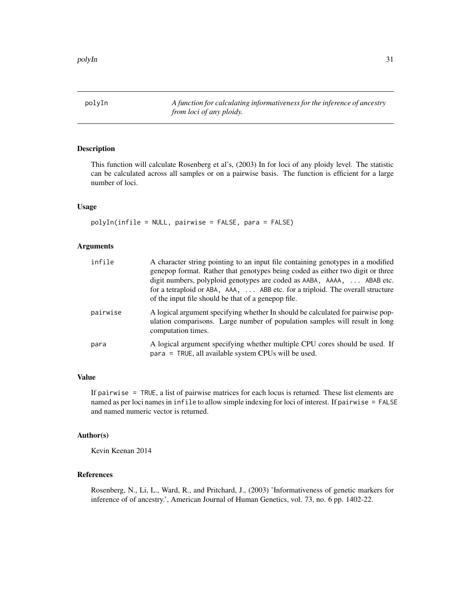<span id="page-30-0"></span>polyIn *A function for calculating informativeness for the inference of ancestry from loci of any ploidy.*

#### Description

This function will calculate Rosenberg et al's, (2003) In for loci of any ploidy level. The statistic can be calculated across all samples or on a pairwise basis. The function is efficient for a large number of loci.

#### Usage

polyIn(infile = NULL, pairwise = FALSE, para = FALSE)

#### Arguments

| infile   | A character string pointing to an input file containing genotypes in a modified<br>genepop format. Rather that genotypes being coded as either two digit or three<br>digit numbers, polyploid genotypes are coded as AABA, AAAA,  ABAB etc.<br>for a tetraploid or ABA, AAA,  ABB etc. for a triploid. The overall structure<br>of the input file should be that of a genepop file. |
|----------|-------------------------------------------------------------------------------------------------------------------------------------------------------------------------------------------------------------------------------------------------------------------------------------------------------------------------------------------------------------------------------------|
| pairwise | A logical argument specifying whether In should be calculated for pairwise pop-<br>ulation comparisons. Large number of population samples will result in long<br>computation times.                                                                                                                                                                                                |
| para     | A logical argument specifying whether multiple CPU cores should be used. If<br>para = TRUE, all available system CPUs will be used.                                                                                                                                                                                                                                                 |

#### Value

If pairwise = TRUE, a list of pairwise matrices for each locus is returned. These list elements are named as per loci names in infile to allow simple indexing for loci of interest. If pairwise = FALSE and named numeric vector is returned.

#### Author(s)

Kevin Keenan 2014

#### References

Rosenberg, N., Li, L., Ward, R., and Pritchard, J., (2003) 'Informativeness of genetic markers for inference of of ancestry.', American Journal of Human Genetics, vol. 73, no. 6 pp. 1402-22.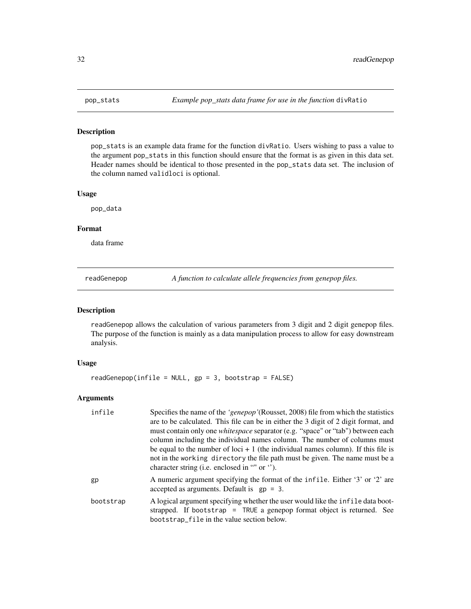<span id="page-31-0"></span>

#### Description

pop\_stats is an example data frame for the function divRatio. Users wishing to pass a value to the argument pop\_stats in this function should ensure that the format is as given in this data set. Header names should be identical to those presented in the pop\_stats data set. The inclusion of the column named validloci is optional.

#### Usage

pop\_data

#### Format

data frame

readGenepop *A function to calculate allele frequencies from genepop files.*

#### Description

readGenepop allows the calculation of various parameters from 3 digit and 2 digit genepop files. The purpose of the function is mainly as a data manipulation process to allow for easy downstream analysis.

#### Usage

 $readGenepop(intfile = NULL, gp = 3, bootstrap = FALSE)$ 

#### Arguments

| infile    | Specifies the name of the 'genepop' (Rousset, 2008) file from which the statistics<br>are to be calculated. This file can be in either the 3 digit of 2 digit format, and<br>must contain only one <i>whitespace</i> separator (e.g. "space" or "tab") between each<br>column including the individual names column. The number of columns must<br>be equal to the number of loci $+1$ (the individual names column). If this file is<br>not in the working directory the file path must be given. The name must be a<br>character string (i.e. enclosed in "" or "). |
|-----------|-----------------------------------------------------------------------------------------------------------------------------------------------------------------------------------------------------------------------------------------------------------------------------------------------------------------------------------------------------------------------------------------------------------------------------------------------------------------------------------------------------------------------------------------------------------------------|
| gp        | A numeric argument specifying the format of the infile. Either '3' or '2' are<br>accepted as arguments. Default is $gp = 3$ .                                                                                                                                                                                                                                                                                                                                                                                                                                         |
| bootstrap | A logical argument specifying whether the user would like the infile data boot-<br>strapped. If bootstrap = TRUE a genepop format object is returned. See<br>bootstrap_file in the value section below.                                                                                                                                                                                                                                                                                                                                                               |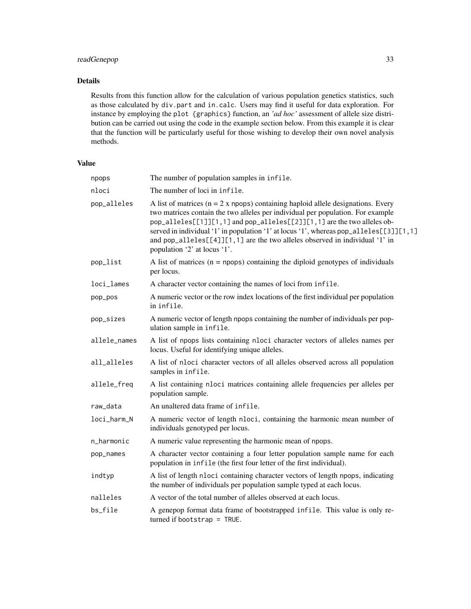#### readGenepop 33

#### Details

Results from this function allow for the calculation of various population genetics statistics, such as those calculated by div.part and in.calc. Users may find it useful for data exploration. For instance by employing the plot {graphics} function, an *'ad hoc'* assessment of allele size distribution can be carried out using the code in the example section below. From this example it is clear that the function will be particularly useful for those wishing to develop their own novel analysis methods.

#### Value

| npops        | The number of population samples in infile.                                                                                                                                                                                                                                                                                                                                                                                                               |
|--------------|-----------------------------------------------------------------------------------------------------------------------------------------------------------------------------------------------------------------------------------------------------------------------------------------------------------------------------------------------------------------------------------------------------------------------------------------------------------|
| nloci        | The number of loci in infile.                                                                                                                                                                                                                                                                                                                                                                                                                             |
| pop_alleles  | A list of matrices ( $n = 2x$ npops) containing haploid allele designations. Every<br>two matrices contain the two alleles per individual per population. For example<br>pop_alleles[[1]][1,1] and pop_alleles[[2]][1,1] are the two alleles ob-<br>served in individual '1' in population '1' at locus '1', whereas pop_alleles[[3]][1,1]<br>and pop_alleles[[4]][1,1] are the two alleles observed in individual '1' in<br>population '2' at locus '1'. |
| pop_list     | A list of matrices $(n = n \text{pops})$ containing the diploid genotypes of individuals<br>per locus.                                                                                                                                                                                                                                                                                                                                                    |
| loci_lames   | A character vector containing the names of loci from infile.                                                                                                                                                                                                                                                                                                                                                                                              |
| pop_pos      | A numeric vector or the row index locations of the first individual per population<br>in infile.                                                                                                                                                                                                                                                                                                                                                          |
| pop_sizes    | A numeric vector of length npops containing the number of individuals per pop-<br>ulation sample in infile.                                                                                                                                                                                                                                                                                                                                               |
| allele_names | A list of npops lists containing nloci character vectors of alleles names per<br>locus. Useful for identifying unique alleles.                                                                                                                                                                                                                                                                                                                            |
| all_alleles  | A list of nloci character vectors of all alleles observed across all population<br>samples in infile.                                                                                                                                                                                                                                                                                                                                                     |
| allele_freq  | A list containing nloci matrices containing allele frequencies per alleles per<br>population sample.                                                                                                                                                                                                                                                                                                                                                      |
| raw_data     | An unaltered data frame of infile.                                                                                                                                                                                                                                                                                                                                                                                                                        |
| loci_harm_N  | A numeric vector of length nloci, containing the harmonic mean number of<br>individuals genotyped per locus.                                                                                                                                                                                                                                                                                                                                              |
| n_harmonic   | A numeric value representing the harmonic mean of npops.                                                                                                                                                                                                                                                                                                                                                                                                  |
| pop_names    | A character vector containing a four letter population sample name for each<br>population in infile (the first four letter of the first individual).                                                                                                                                                                                                                                                                                                      |
| indtyp       | A list of length nloci containing character vectors of length npops, indicating<br>the number of individuals per population sample typed at each locus.                                                                                                                                                                                                                                                                                                   |
| nalleles     | A vector of the total number of alleles observed at each locus.                                                                                                                                                                                                                                                                                                                                                                                           |
| bs_file      | A genepop format data frame of bootstrapped infile. This value is only re-<br>turned if bootstrap = $TRUE$ .                                                                                                                                                                                                                                                                                                                                              |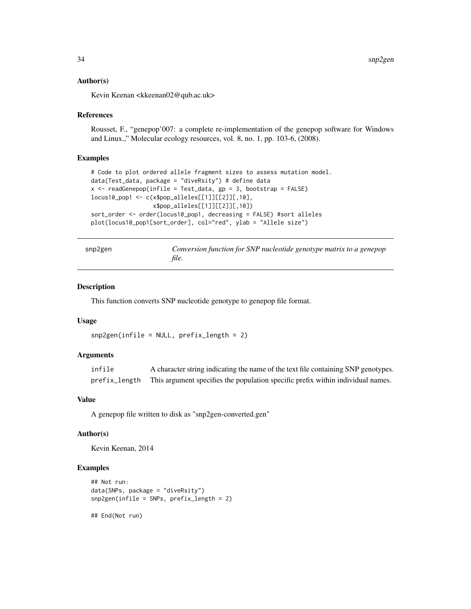#### <span id="page-33-0"></span>Author(s)

Kevin Keenan <kkeenan02@qub.ac.uk>

#### References

Rousset, F., "genepop'007: a complete re-implementation of the genepop software for Windows and Linux.," Molecular ecology resources, vol. 8, no. 1, pp. 103-6, (2008).

#### Examples

```
# Code to plot ordered allele fragment sizes to assess mutation model.
data(Test_data, package = "divensity") # define datax \le readGenepop(infile = Test_data, gp = 3, bootstrap = FALSE)
locus10_pop1 <- c(x$pop_alleles[[1]][[2]][,10],
                  x$pop_alleles[[1]][[2]][,10])
sort_order <- order(locus10_pop1, decreasing = FALSE) #sort alleles
plot(locus10_pop1[sort_order], col="red", ylab = "Allele size")
```
snp2gen *Conversion function for SNP nucleotide genotype matrix to a genepop file.*

#### Description

This function converts SNP nucleotide genotype to genepop file format.

#### Usage

 $snp2gen(intile = NULL, prefix_length = 2)$ 

#### Arguments

| infile | A character string indicating the name of the text file containing SNP genotypes.             |
|--------|-----------------------------------------------------------------------------------------------|
|        | prefix_length This argument specifies the population specific prefix within individual names. |

#### Value

A genepop file written to disk as "snp2gen-converted.gen"

#### Author(s)

Kevin Keenan, 2014

#### Examples

```
## Not run:
data(SNPs, package = "diveRsity")
snp2gen(infile = SNPs, prefix_length = 2)
```
## End(Not run)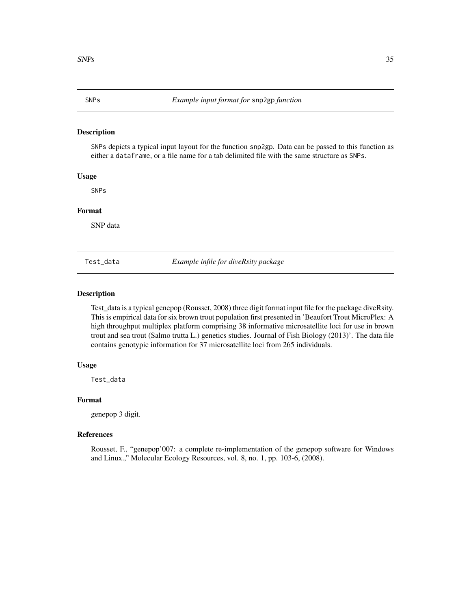#### <span id="page-34-0"></span>Description

SNPs depicts a typical input layout for the function snp2gp. Data can be passed to this function as either a dataframe, or a file name for a tab delimited file with the same structure as SNPs.

#### Usage

SNPs

#### Format

SNP data

Test\_data *Example infile for diveRsity package*

#### Description

Test\_data is a typical genepop (Rousset, 2008) three digit format input file for the package diveRsity. This is empirical data for six brown trout population first presented in 'Beaufort Trout MicroPlex: A high throughput multiplex platform comprising 38 informative microsatellite loci for use in brown trout and sea trout (Salmo trutta L.) genetics studies. Journal of Fish Biology (2013)'. The data file contains genotypic information for 37 microsatellite loci from 265 individuals.

#### Usage

Test\_data

#### Format

genepop 3 digit.

#### References

Rousset, F., "genepop'007: a complete re-implementation of the genepop software for Windows and Linux.," Molecular Ecology Resources, vol. 8, no. 1, pp. 103-6, (2008).